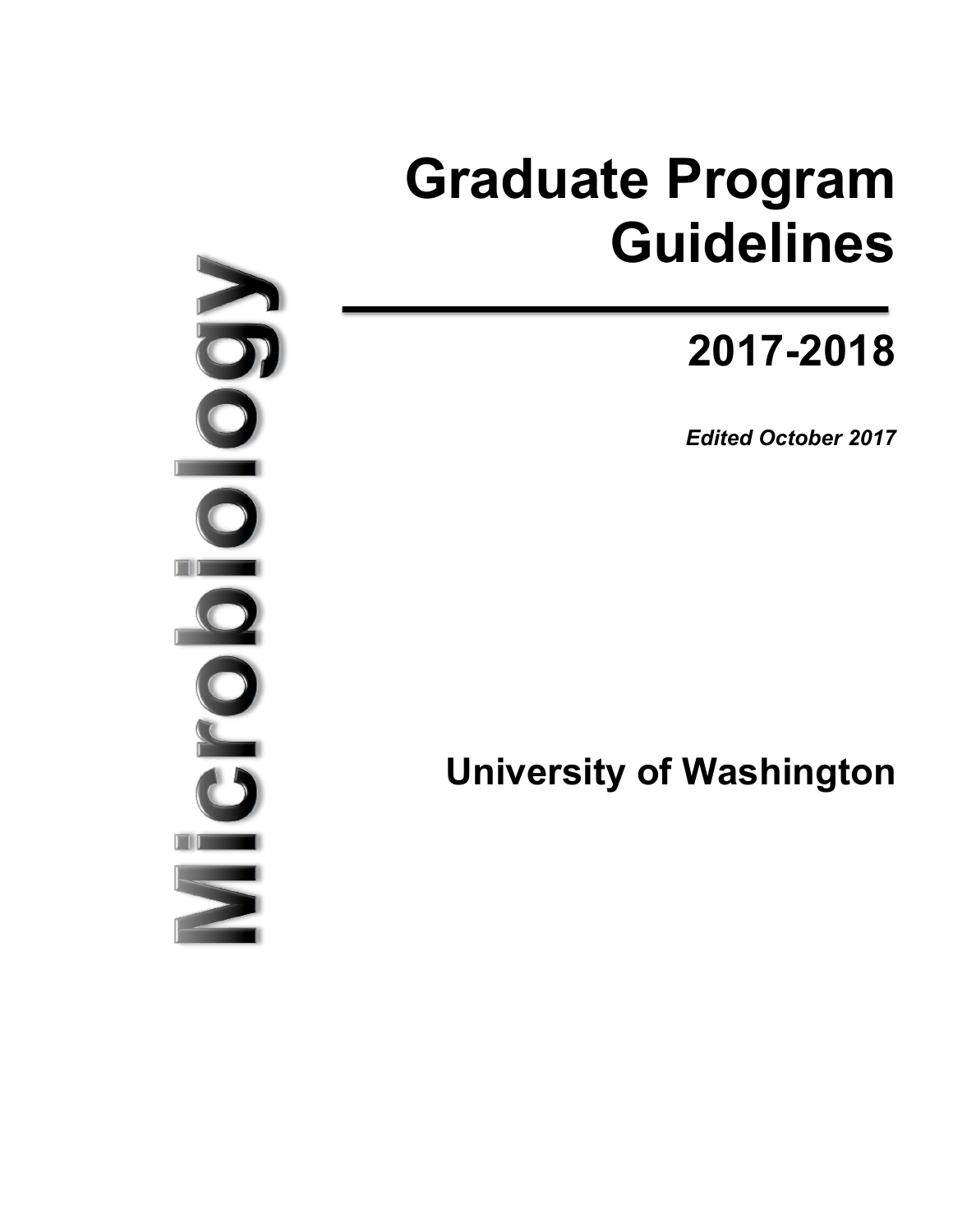# **Graduate Program Guidelines**

# **2017-2018**

*Edited October 2017*

**University of Washington**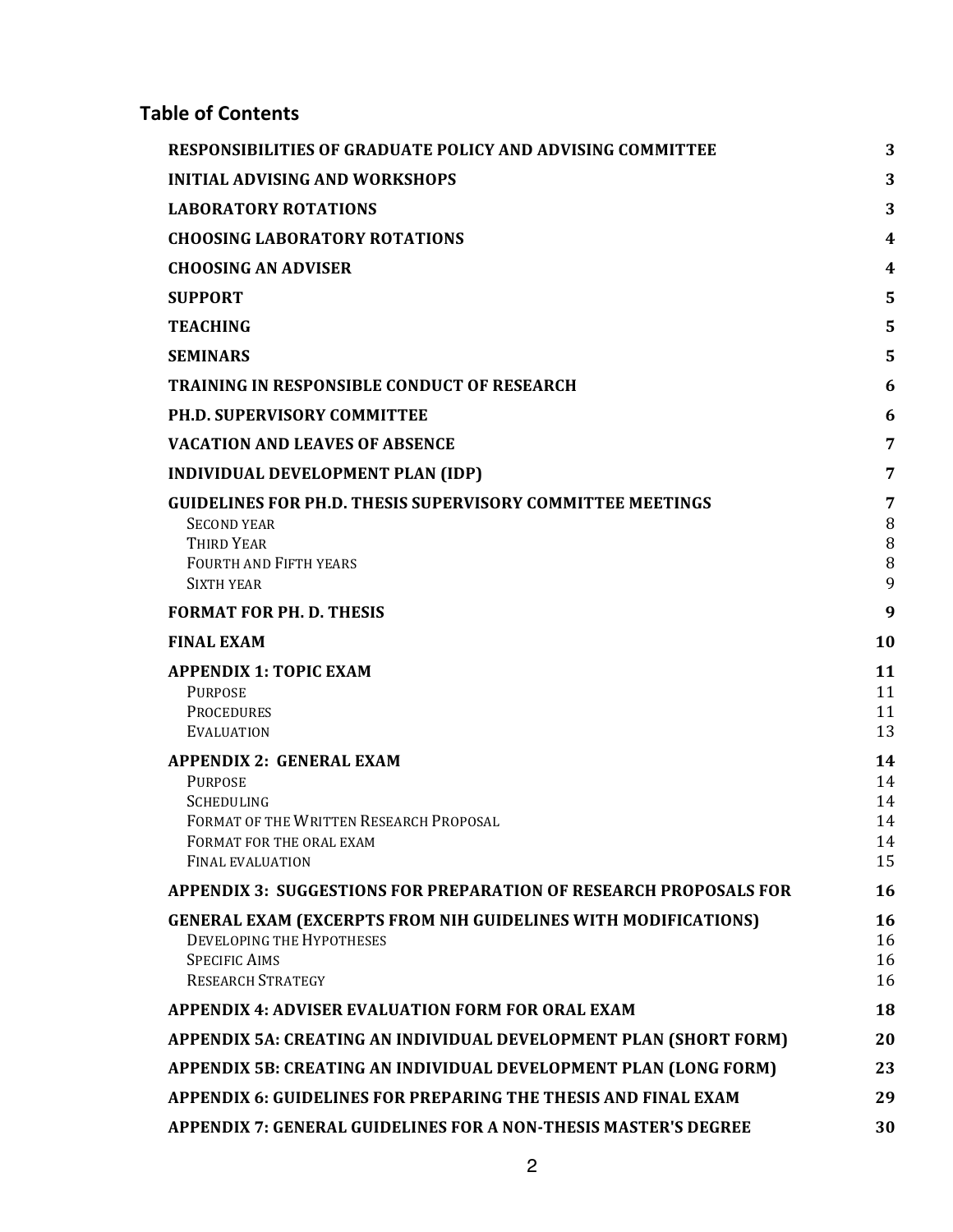# **Table of Contents**

| RESPONSIBILITIES OF GRADUATE POLICY AND ADVISING COMMITTEE                                                                                                        | 3                                |
|-------------------------------------------------------------------------------------------------------------------------------------------------------------------|----------------------------------|
| <b>INITIAL ADVISING AND WORKSHOPS</b>                                                                                                                             | 3                                |
| <b>LABORATORY ROTATIONS</b>                                                                                                                                       | 3                                |
| <b>CHOOSING LABORATORY ROTATIONS</b>                                                                                                                              | 4                                |
| <b>CHOOSING AN ADVISER</b>                                                                                                                                        | 4                                |
| <b>SUPPORT</b>                                                                                                                                                    | 5                                |
| <b>TEACHING</b>                                                                                                                                                   | 5                                |
| <b>SEMINARS</b>                                                                                                                                                   | 5                                |
| <b>TRAINING IN RESPONSIBLE CONDUCT OF RESEARCH</b>                                                                                                                | 6                                |
| <b>PH.D. SUPERVISORY COMMITTEE</b>                                                                                                                                | 6                                |
| <b>VACATION AND LEAVES OF ABSENCE</b>                                                                                                                             | 7                                |
| <b>INDIVIDUAL DEVELOPMENT PLAN (IDP)</b>                                                                                                                          | 7                                |
| GUIDELINES FOR PH.D. THESIS SUPERVISORY COMMITTEE MEETINGS<br><b>SECOND YEAR</b><br>THIRD YEAR<br><b>FOURTH AND FIFTH YEARS</b><br><b>SIXTH YEAR</b>              | 7<br>8<br>8<br>8<br>9            |
| <b>FORMAT FOR PH. D. THESIS</b>                                                                                                                                   | 9                                |
| <b>FINAL EXAM</b>                                                                                                                                                 | 10                               |
| <b>APPENDIX 1: TOPIC EXAM</b><br><b>PURPOSE</b><br><b>PROCEDURES</b><br><b>EVALUATION</b>                                                                         | 11<br>11<br>11<br>13             |
| <b>APPENDIX 2: GENERAL EXAM</b><br><b>PURPOSE</b><br>SCHEDULING<br>FORMAT OF THE WRITTEN RESEARCH PROPOSAL<br>FORMAT FOR THE ORAL EXAM<br><b>FINAL EVALUATION</b> | 14<br>14<br>14<br>14<br>14<br>15 |
| <b>APPENDIX 3: SUGGESTIONS FOR PREPARATION OF RESEARCH PROPOSALS FOR</b>                                                                                          | 16                               |
| <b>GENERAL EXAM (EXCERPTS FROM NIH GUIDELINES WITH MODIFICATIONS)</b><br>DEVELOPING THE HYPOTHESES<br><b>SPECIFIC AIMS</b><br><b>RESEARCH STRATEGY</b>            | 16<br>16<br>16<br>16             |
| <b>APPENDIX 4: ADVISER EVALUATION FORM FOR ORAL EXAM</b>                                                                                                          | 18                               |
| APPENDIX 5A: CREATING AN INDIVIDUAL DEVELOPMENT PLAN (SHORT FORM)                                                                                                 | 20                               |
| APPENDIX 5B: CREATING AN INDIVIDUAL DEVELOPMENT PLAN (LONG FORM)                                                                                                  | 23                               |
| APPENDIX 6: GUIDELINES FOR PREPARING THE THESIS AND FINAL EXAM                                                                                                    | 29                               |
| <b>APPENDIX 7: GENERAL GUIDELINES FOR A NON-THESIS MASTER'S DEGREE</b>                                                                                            | 30                               |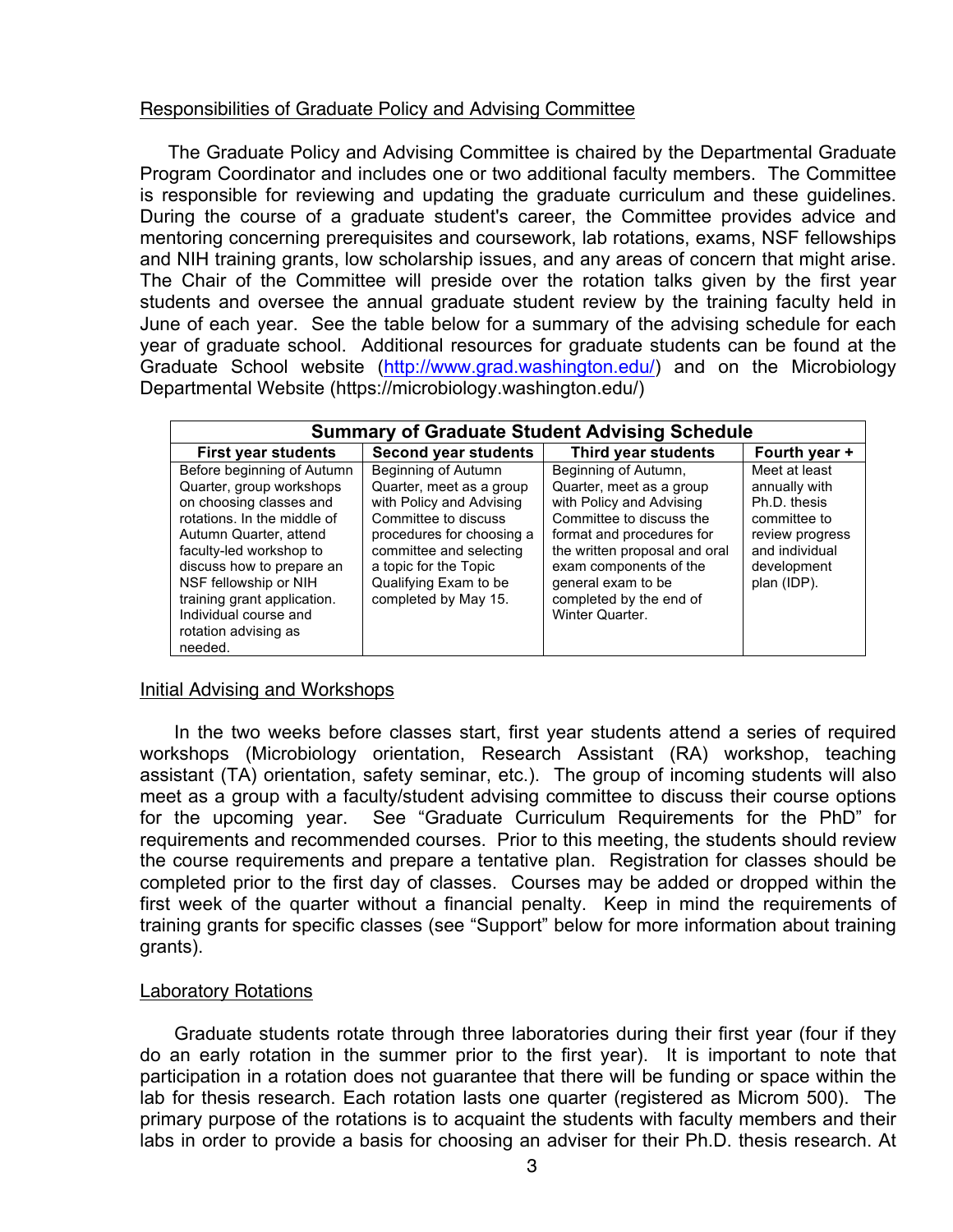#### Responsibilities of Graduate Policy and Advising Committee

The Graduate Policy and Advising Committee is chaired by the Departmental Graduate Program Coordinator and includes one or two additional faculty members. The Committee is responsible for reviewing and updating the graduate curriculum and these guidelines. During the course of a graduate student's career, the Committee provides advice and mentoring concerning prerequisites and coursework, lab rotations, exams, NSF fellowships and NIH training grants, low scholarship issues, and any areas of concern that might arise. The Chair of the Committee will preside over the rotation talks given by the first year students and oversee the annual graduate student review by the training faculty held in June of each year. See the table below for a summary of the advising schedule for each year of graduate school. Additional resources for graduate students can be found at the Graduate School website (http://www.grad.washington.edu/) and on the Microbiology Departmental Website (https://microbiology.washington.edu/)

| <b>Summary of Graduate Student Advising Schedule</b>                                                                                                                                                                                                                                                                   |                                                                                                                                                                                                                                       |                                                                                                                                                                                                                                                                      |                                                                                                                                   |  |
|------------------------------------------------------------------------------------------------------------------------------------------------------------------------------------------------------------------------------------------------------------------------------------------------------------------------|---------------------------------------------------------------------------------------------------------------------------------------------------------------------------------------------------------------------------------------|----------------------------------------------------------------------------------------------------------------------------------------------------------------------------------------------------------------------------------------------------------------------|-----------------------------------------------------------------------------------------------------------------------------------|--|
| <b>First year students</b>                                                                                                                                                                                                                                                                                             | <b>Second year students</b>                                                                                                                                                                                                           | Third year students                                                                                                                                                                                                                                                  | Fourth year +                                                                                                                     |  |
| Before beginning of Autumn<br>Quarter, group workshops<br>on choosing classes and<br>rotations. In the middle of<br>Autumn Quarter, attend<br>faculty-led workshop to<br>discuss how to prepare an<br>NSF fellowship or NIH<br>training grant application.<br>Individual course and<br>rotation advising as<br>needed. | Beginning of Autumn<br>Quarter, meet as a group<br>with Policy and Advising<br>Committee to discuss<br>procedures for choosing a<br>committee and selecting<br>a topic for the Topic<br>Qualifying Exam to be<br>completed by May 15. | Beginning of Autumn,<br>Quarter, meet as a group<br>with Policy and Advising<br>Committee to discuss the<br>format and procedures for<br>the written proposal and oral<br>exam components of the<br>general exam to be<br>completed by the end of<br>Winter Quarter. | Meet at least<br>annually with<br>Ph.D. thesis<br>committee to<br>review progress<br>and individual<br>development<br>plan (IDP). |  |

#### Initial Advising and Workshops

In the two weeks before classes start, first year students attend a series of required workshops (Microbiology orientation, Research Assistant (RA) workshop, teaching assistant (TA) orientation, safety seminar, etc.). The group of incoming students will also meet as a group with a faculty/student advising committee to discuss their course options for the upcoming year. See "Graduate Curriculum Requirements for the PhD" for requirements and recommended courses. Prior to this meeting, the students should review the course requirements and prepare a tentative plan. Registration for classes should be completed prior to the first day of classes. Courses may be added or dropped within the first week of the quarter without a financial penalty. Keep in mind the requirements of training grants for specific classes (see "Support" below for more information about training grants).

#### Laboratory Rotations

Graduate students rotate through three laboratories during their first year (four if they do an early rotation in the summer prior to the first year). It is important to note that participation in a rotation does not guarantee that there will be funding or space within the lab for thesis research. Each rotation lasts one quarter (registered as Microm 500). The primary purpose of the rotations is to acquaint the students with faculty members and their labs in order to provide a basis for choosing an adviser for their Ph.D. thesis research. At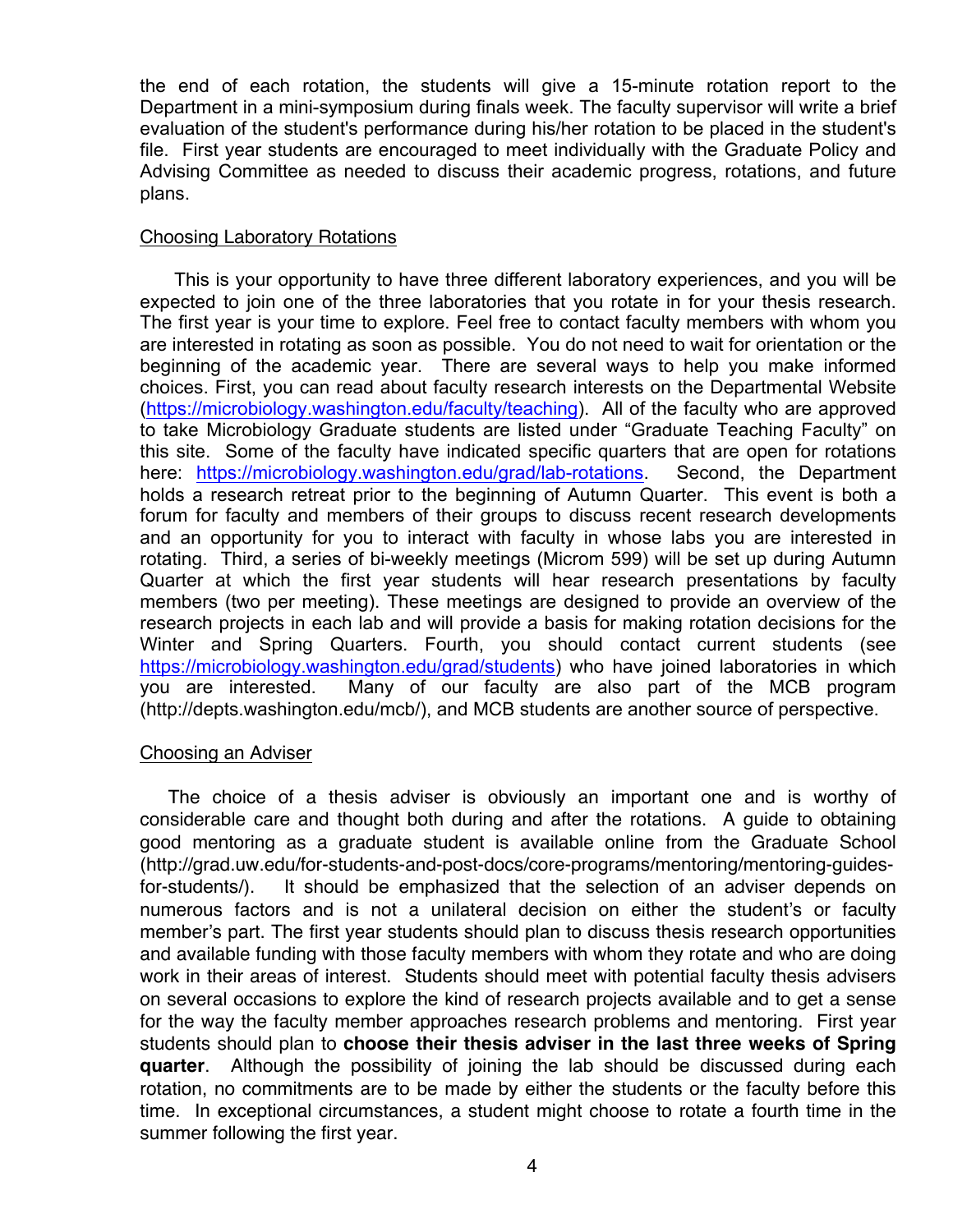the end of each rotation, the students will give a 15-minute rotation report to the Department in a mini-symposium during finals week. The faculty supervisor will write a brief evaluation of the student's performance during his/her rotation to be placed in the student's file. First year students are encouraged to meet individually with the Graduate Policy and Advising Committee as needed to discuss their academic progress, rotations, and future plans.

#### Choosing Laboratory Rotations

This is your opportunity to have three different laboratory experiences, and you will be expected to join one of the three laboratories that you rotate in for your thesis research. The first year is your time to explore. Feel free to contact faculty members with whom you are interested in rotating as soon as possible. You do not need to wait for orientation or the beginning of the academic year. There are several ways to help you make informed choices. First, you can read about faculty research interests on the Departmental Website (https://microbiology.washington.edu/faculty/teaching). All of the faculty who are approved to take Microbiology Graduate students are listed under "Graduate Teaching Faculty" on this site. Some of the faculty have indicated specific quarters that are open for rotations here: https://microbiology.washington.edu/grad/lab-rotations. Second, the Department holds a research retreat prior to the beginning of Autumn Quarter. This event is both a forum for faculty and members of their groups to discuss recent research developments and an opportunity for you to interact with faculty in whose labs you are interested in rotating. Third, a series of bi-weekly meetings (Microm 599) will be set up during Autumn Quarter at which the first year students will hear research presentations by faculty members (two per meeting). These meetings are designed to provide an overview of the research projects in each lab and will provide a basis for making rotation decisions for the Winter and Spring Quarters. Fourth, you should contact current students (see https://microbiology.washington.edu/grad/students) who have joined laboratories in which you are interested. Many of our faculty are also part of the MCB program (http://depts.washington.edu/mcb/), and MCB students are another source of perspective.

#### Choosing an Adviser

The choice of a thesis adviser is obviously an important one and is worthy of considerable care and thought both during and after the rotations. A guide to obtaining good mentoring as a graduate student is available online from the Graduate School (http://grad.uw.edu/for-students-and-post-docs/core-programs/mentoring/mentoring-guidesfor-students/). It should be emphasized that the selection of an adviser depends on numerous factors and is not a unilateral decision on either the student's or faculty member's part. The first year students should plan to discuss thesis research opportunities and available funding with those faculty members with whom they rotate and who are doing work in their areas of interest. Students should meet with potential faculty thesis advisers on several occasions to explore the kind of research projects available and to get a sense for the way the faculty member approaches research problems and mentoring. First year students should plan to **choose their thesis adviser in the last three weeks of Spring quarter**. Although the possibility of joining the lab should be discussed during each rotation, no commitments are to be made by either the students or the faculty before this time. In exceptional circumstances, a student might choose to rotate a fourth time in the summer following the first year.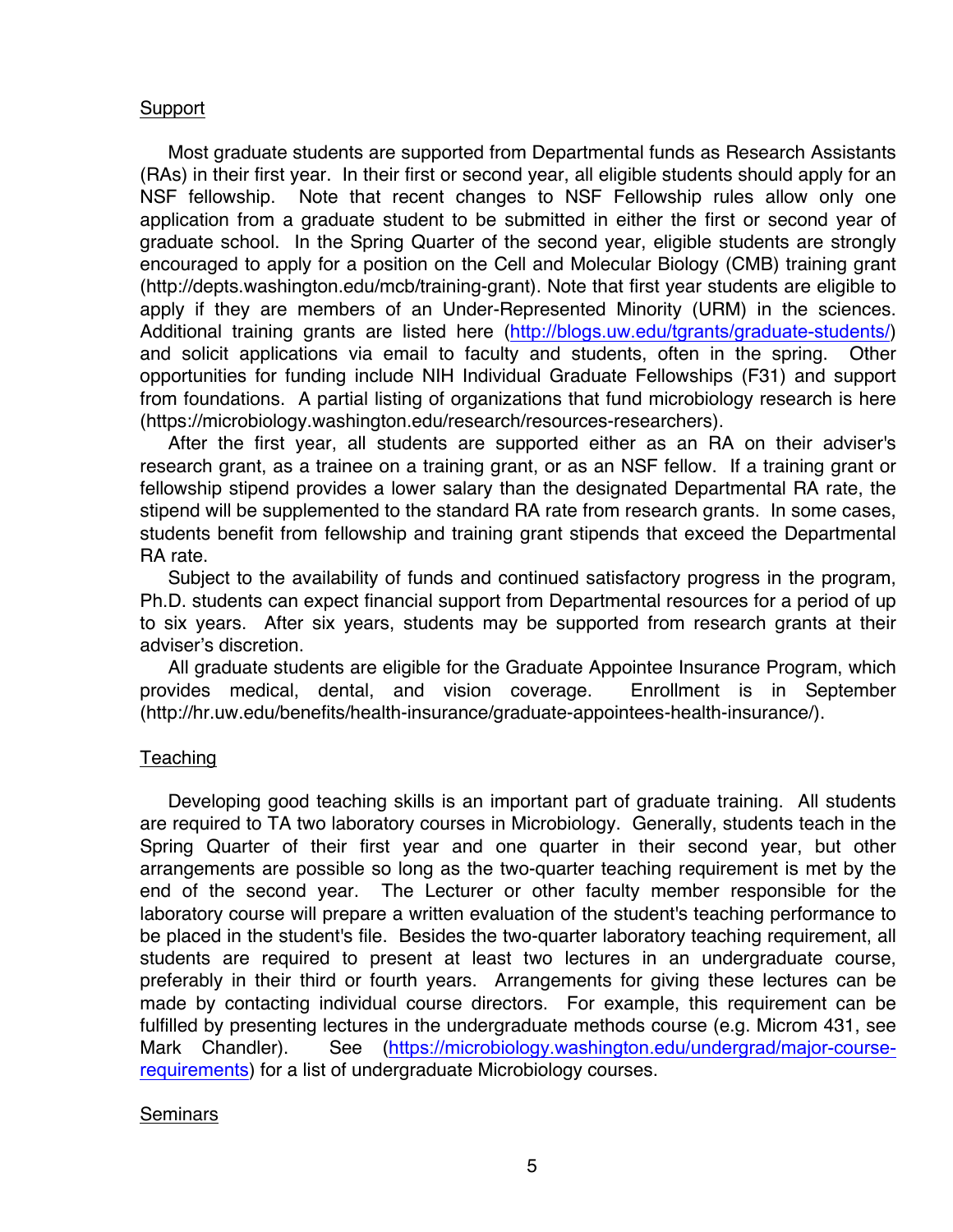#### Support

Most graduate students are supported from Departmental funds as Research Assistants (RAs) in their first year. In their first or second year, all eligible students should apply for an NSF fellowship. Note that recent changes to NSF Fellowship rules allow only one application from a graduate student to be submitted in either the first or second year of graduate school. In the Spring Quarter of the second year, eligible students are strongly encouraged to apply for a position on the Cell and Molecular Biology (CMB) training grant (http://depts.washington.edu/mcb/training-grant). Note that first year students are eligible to apply if they are members of an Under-Represented Minority (URM) in the sciences. Additional training grants are listed here (http://blogs.uw.edu/tgrants/graduate-students/) and solicit applications via email to faculty and students, often in the spring. Other opportunities for funding include NIH Individual Graduate Fellowships (F31) and support from foundations. A partial listing of organizations that fund microbiology research is here (https://microbiology.washington.edu/research/resources-researchers).

After the first year, all students are supported either as an RA on their adviser's research grant, as a trainee on a training grant, or as an NSF fellow. If a training grant or fellowship stipend provides a lower salary than the designated Departmental RA rate, the stipend will be supplemented to the standard RA rate from research grants. In some cases, students benefit from fellowship and training grant stipends that exceed the Departmental RA rate.

Subject to the availability of funds and continued satisfactory progress in the program, Ph.D. students can expect financial support from Departmental resources for a period of up to six years. After six years, students may be supported from research grants at their adviser's discretion.

All graduate students are eligible for the Graduate Appointee Insurance Program, which provides medical, dental, and vision coverage. Enrollment is in September (http://hr.uw.edu/benefits/health-insurance/graduate-appointees-health-insurance/).

#### Teaching

Developing good teaching skills is an important part of graduate training. All students are required to TA two laboratory courses in Microbiology. Generally, students teach in the Spring Quarter of their first year and one quarter in their second year, but other arrangements are possible so long as the two-quarter teaching requirement is met by the end of the second year. The Lecturer or other faculty member responsible for the laboratory course will prepare a written evaluation of the student's teaching performance to be placed in the student's file. Besides the two-quarter laboratory teaching requirement, all students are required to present at least two lectures in an undergraduate course, preferably in their third or fourth years. Arrangements for giving these lectures can be made by contacting individual course directors. For example, this requirement can be fulfilled by presenting lectures in the undergraduate methods course (e.g. Microm 431, see Mark Chandler). See (https://microbiology.washington.edu/undergrad/major-courserequirements) for a list of undergraduate Microbiology courses.

#### **Seminars**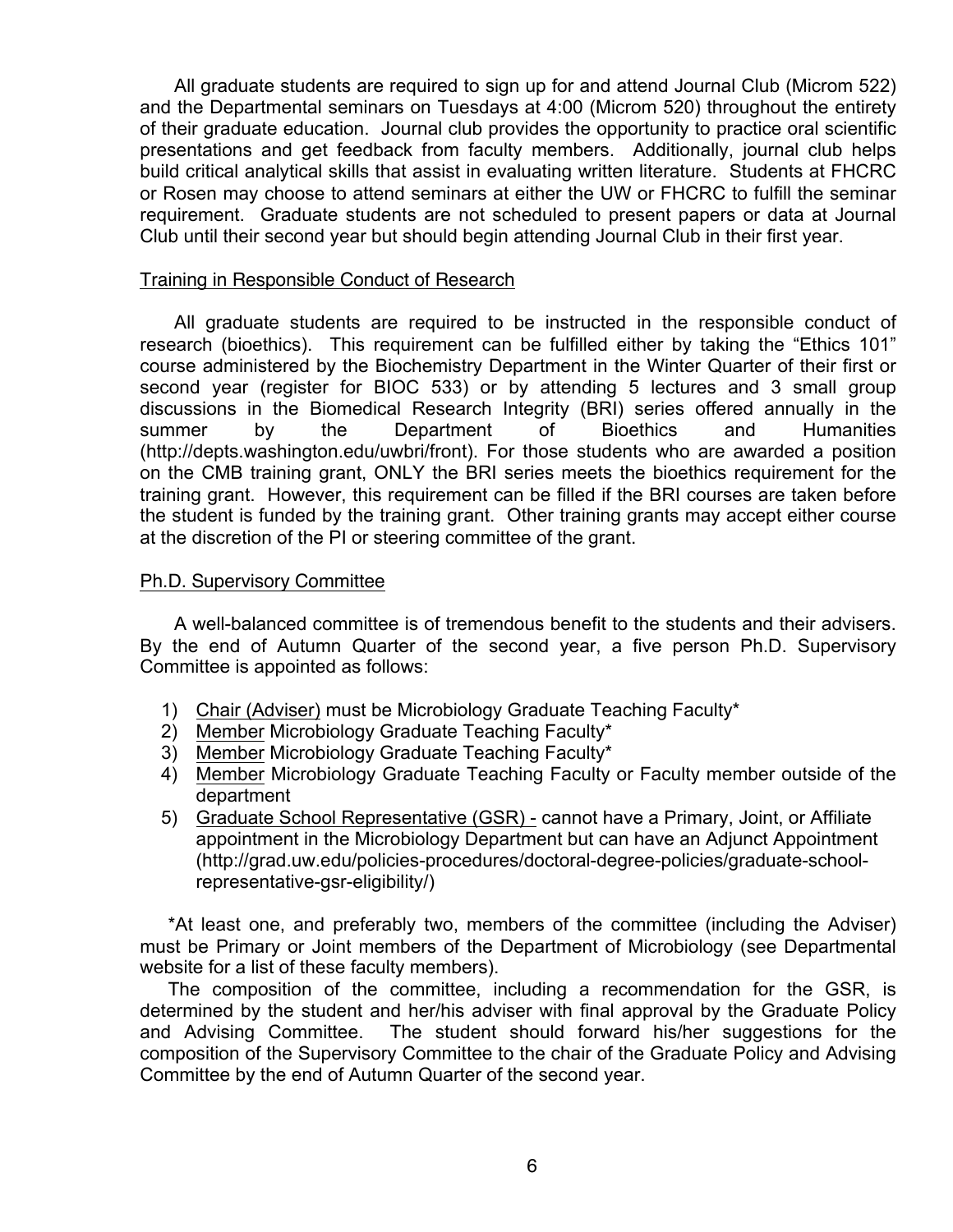All graduate students are required to sign up for and attend Journal Club (Microm 522) and the Departmental seminars on Tuesdays at 4:00 (Microm 520) throughout the entirety of their graduate education. Journal club provides the opportunity to practice oral scientific presentations and get feedback from faculty members. Additionally, journal club helps build critical analytical skills that assist in evaluating written literature. Students at FHCRC or Rosen may choose to attend seminars at either the UW or FHCRC to fulfill the seminar requirement. Graduate students are not scheduled to present papers or data at Journal Club until their second year but should begin attending Journal Club in their first year.

#### Training in Responsible Conduct of Research

All graduate students are required to be instructed in the responsible conduct of research (bioethics). This requirement can be fulfilled either by taking the "Ethics 101" course administered by the Biochemistry Department in the Winter Quarter of their first or second year (register for BIOC 533) or by attending 5 lectures and 3 small group discussions in the Biomedical Research Integrity (BRI) series offered annually in the summer by the Department of Bioethics and Humanities (http://depts.washington.edu/uwbri/front). For those students who are awarded a position on the CMB training grant, ONLY the BRI series meets the bioethics requirement for the training grant. However, this requirement can be filled if the BRI courses are taken before the student is funded by the training grant. Other training grants may accept either course at the discretion of the PI or steering committee of the grant.

#### Ph.D. Supervisory Committee

A well-balanced committee is of tremendous benefit to the students and their advisers. By the end of Autumn Quarter of the second year, a five person Ph.D. Supervisory Committee is appointed as follows:

- 1) Chair (Adviser) must be Microbiology Graduate Teaching Faculty\*
- 2) Member Microbiology Graduate Teaching Faculty\*
- 3) Member Microbiology Graduate Teaching Faculty\*
- 4) Member Microbiology Graduate Teaching Faculty or Faculty member outside of the department
- 5) Graduate School Representative (GSR) cannot have a Primary, Joint, or Affiliate appointment in the Microbiology Department but can have an Adjunct Appointment (http://grad.uw.edu/policies-procedures/doctoral-degree-policies/graduate-schoolrepresentative-gsr-eligibility/)

\*At least one, and preferably two, members of the committee (including the Adviser) must be Primary or Joint members of the Department of Microbiology (see Departmental website for a list of these faculty members).

The composition of the committee, including a recommendation for the GSR, is determined by the student and her/his adviser with final approval by the Graduate Policy and Advising Committee. The student should forward his/her suggestions for the composition of the Supervisory Committee to the chair of the Graduate Policy and Advising Committee by the end of Autumn Quarter of the second year.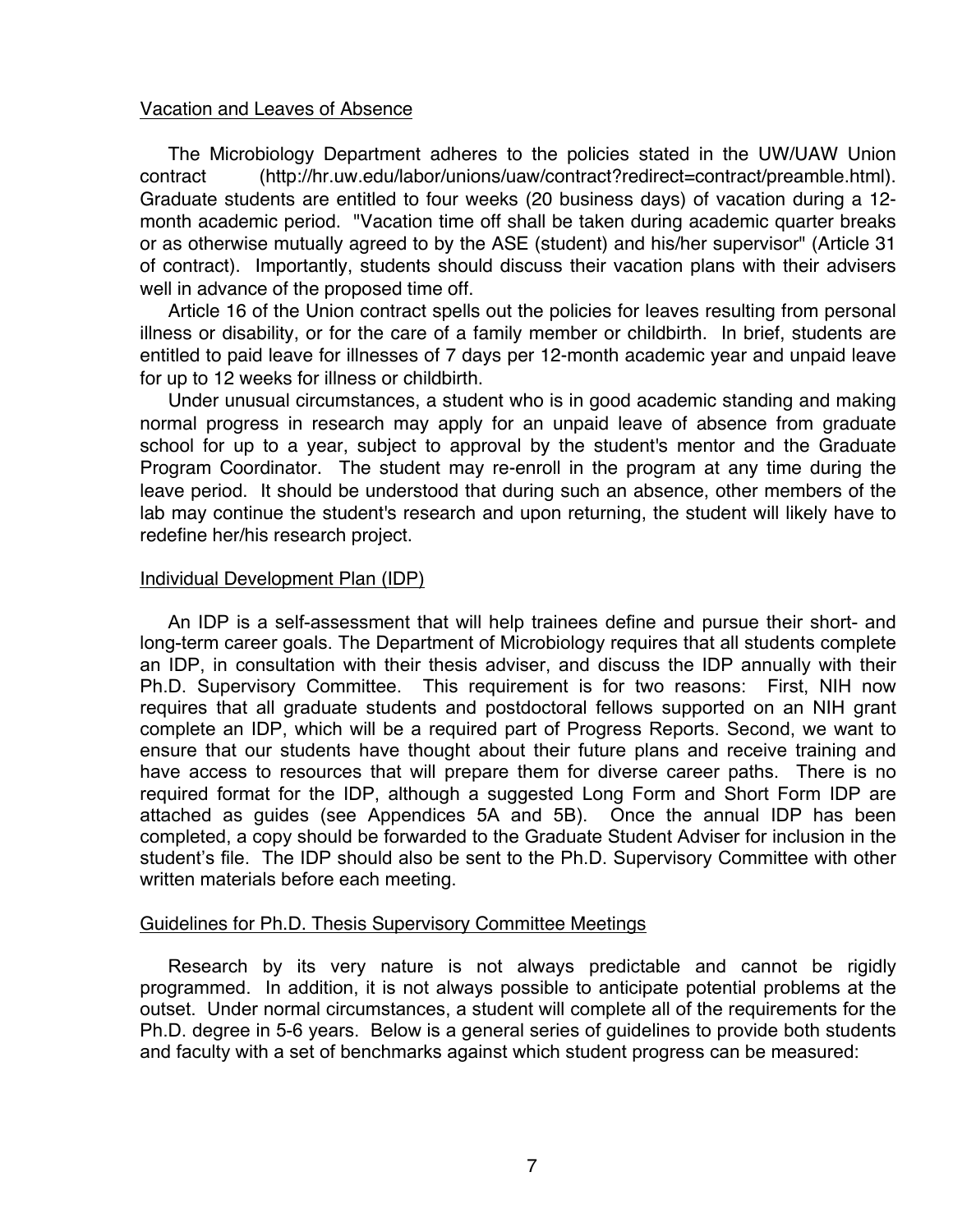#### Vacation and Leaves of Absence

The Microbiology Department adheres to the policies stated in the UW/UAW Union contract (http://hr.uw.edu/labor/unions/uaw/contract?redirect=contract/preamble.html). Graduate students are entitled to four weeks (20 business days) of vacation during a 12 month academic period. "Vacation time off shall be taken during academic quarter breaks or as otherwise mutually agreed to by the ASE (student) and his/her supervisor" (Article 31 of contract). Importantly, students should discuss their vacation plans with their advisers well in advance of the proposed time off.

Article 16 of the Union contract spells out the policies for leaves resulting from personal illness or disability, or for the care of a family member or childbirth. In brief, students are entitled to paid leave for illnesses of 7 days per 12-month academic year and unpaid leave for up to 12 weeks for illness or childbirth.

Under unusual circumstances, a student who is in good academic standing and making normal progress in research may apply for an unpaid leave of absence from graduate school for up to a year, subject to approval by the student's mentor and the Graduate Program Coordinator. The student may re-enroll in the program at any time during the leave period. It should be understood that during such an absence, other members of the lab may continue the student's research and upon returning, the student will likely have to redefine her/his research project.

#### Individual Development Plan (IDP)

An IDP is a self-assessment that will help trainees define and pursue their short- and long-term career goals. The Department of Microbiology requires that all students complete an IDP, in consultation with their thesis adviser, and discuss the IDP annually with their Ph.D. Supervisory Committee. This requirement is for two reasons: First, NIH now requires that all graduate students and postdoctoral fellows supported on an NIH grant complete an IDP, which will be a required part of Progress Reports. Second, we want to ensure that our students have thought about their future plans and receive training and have access to resources that will prepare them for diverse career paths. There is no required format for the IDP, although a suggested Long Form and Short Form IDP are attached as guides (see Appendices 5A and 5B). Once the annual IDP has been completed, a copy should be forwarded to the Graduate Student Adviser for inclusion in the student's file. The IDP should also be sent to the Ph.D. Supervisory Committee with other written materials before each meeting.

#### Guidelines for Ph.D. Thesis Supervisory Committee Meetings

Research by its very nature is not always predictable and cannot be rigidly programmed. In addition, it is not always possible to anticipate potential problems at the outset. Under normal circumstances, a student will complete all of the requirements for the Ph.D. degree in 5-6 years. Below is a general series of guidelines to provide both students and faculty with a set of benchmarks against which student progress can be measured: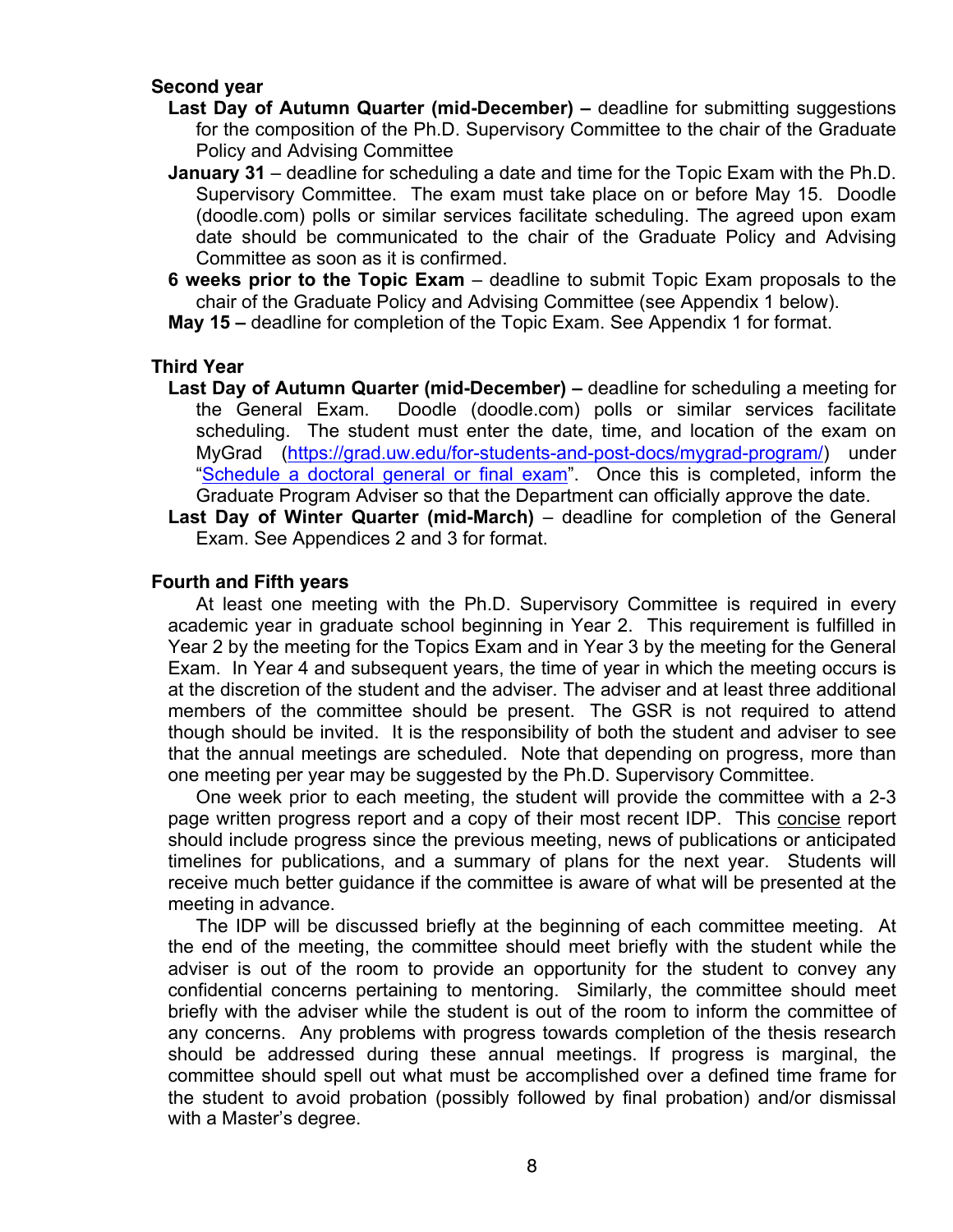#### **Second year**

- **Last Day of Autumn Quarter (mid-December) –** deadline for submitting suggestions for the composition of the Ph.D. Supervisory Committee to the chair of the Graduate Policy and Advising Committee
- **January 31** deadline for scheduling a date and time for the Topic Exam with the Ph.D. Supervisory Committee. The exam must take place on or before May 15. Doodle (doodle.com) polls or similar services facilitate scheduling. The agreed upon exam date should be communicated to the chair of the Graduate Policy and Advising Committee as soon as it is confirmed.
- **6 weeks prior to the Topic Exam** deadline to submit Topic Exam proposals to the chair of the Graduate Policy and Advising Committee (see Appendix 1 below).

**May 15 –** deadline for completion of the Topic Exam. See Appendix 1 for format.

#### **Third Year**

- **Last Day of Autumn Quarter (mid-December) –** deadline for scheduling a meeting for the General Exam. Doodle (doodle.com) polls or similar services facilitate scheduling. The student must enter the date, time, and location of the exam on MyGrad (https://grad.uw.edu/for-students-and-post-docs/mygrad-program/) under "Schedule a doctoral general or final exam". Once this is completed, inform the Graduate Program Adviser so that the Department can officially approve the date.
- **Last Day of Winter Quarter (mid-March)** deadline for completion of the General Exam. See Appendices 2 and 3 for format.

#### **Fourth and Fifth years**

At least one meeting with the Ph.D. Supervisory Committee is required in every academic year in graduate school beginning in Year 2. This requirement is fulfilled in Year 2 by the meeting for the Topics Exam and in Year 3 by the meeting for the General Exam. In Year 4 and subsequent years, the time of year in which the meeting occurs is at the discretion of the student and the adviser. The adviser and at least three additional members of the committee should be present. The GSR is not required to attend though should be invited. It is the responsibility of both the student and adviser to see that the annual meetings are scheduled. Note that depending on progress, more than one meeting per year may be suggested by the Ph.D. Supervisory Committee.

One week prior to each meeting, the student will provide the committee with a 2-3 page written progress report and a copy of their most recent IDP. This concise report should include progress since the previous meeting, news of publications or anticipated timelines for publications, and a summary of plans for the next year. Students will receive much better guidance if the committee is aware of what will be presented at the meeting in advance.

The IDP will be discussed briefly at the beginning of each committee meeting. At the end of the meeting, the committee should meet briefly with the student while the adviser is out of the room to provide an opportunity for the student to convey any confidential concerns pertaining to mentoring. Similarly, the committee should meet briefly with the adviser while the student is out of the room to inform the committee of any concerns. Any problems with progress towards completion of the thesis research should be addressed during these annual meetings. If progress is marginal, the committee should spell out what must be accomplished over a defined time frame for the student to avoid probation (possibly followed by final probation) and/or dismissal with a Master's degree.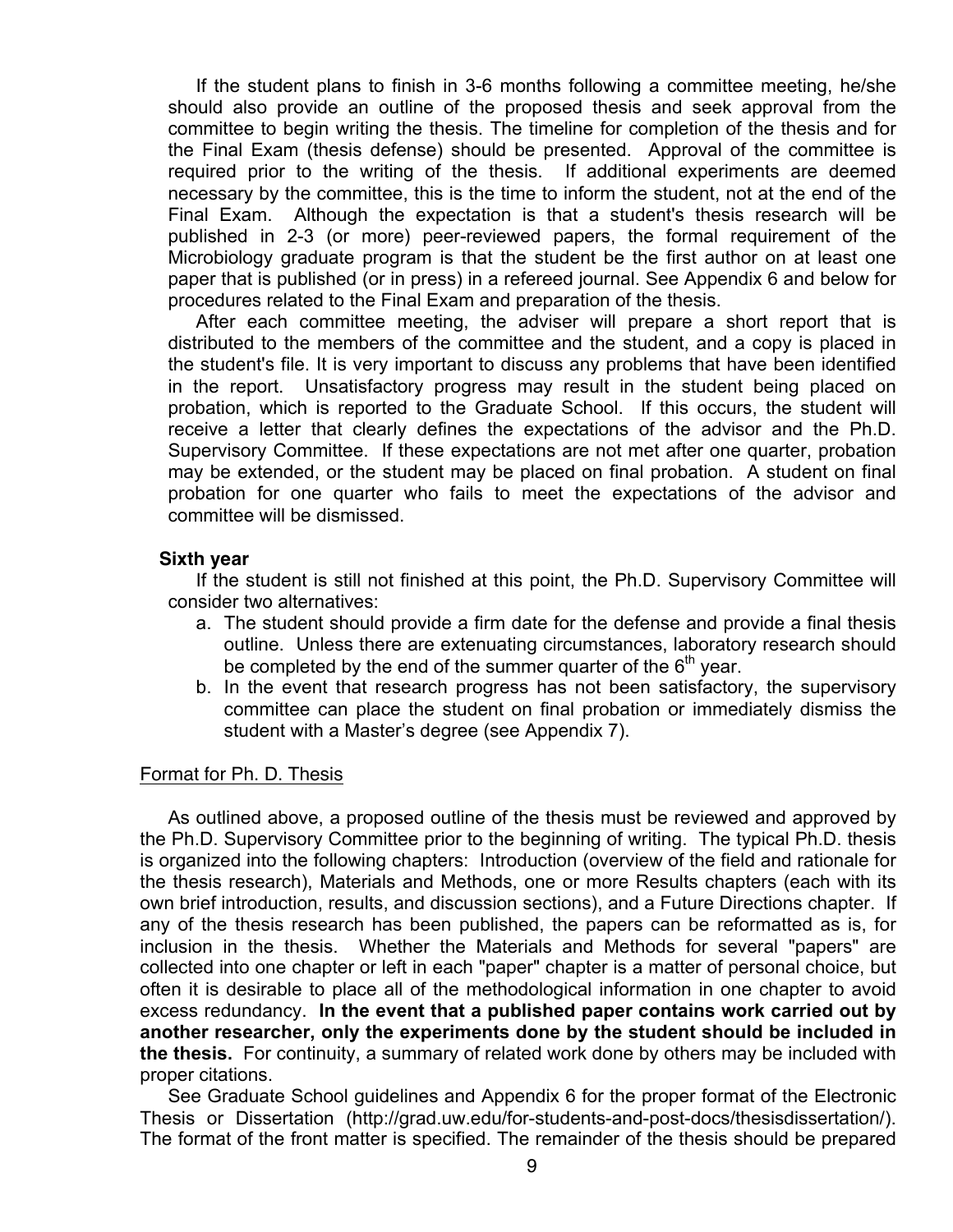If the student plans to finish in 3-6 months following a committee meeting, he/she should also provide an outline of the proposed thesis and seek approval from the committee to begin writing the thesis. The timeline for completion of the thesis and for the Final Exam (thesis defense) should be presented. Approval of the committee is required prior to the writing of the thesis. If additional experiments are deemed necessary by the committee, this is the time to inform the student, not at the end of the Final Exam. Although the expectation is that a student's thesis research will be published in 2-3 (or more) peer-reviewed papers, the formal requirement of the Microbiology graduate program is that the student be the first author on at least one paper that is published (or in press) in a refereed journal. See Appendix 6 and below for procedures related to the Final Exam and preparation of the thesis.

After each committee meeting, the adviser will prepare a short report that is distributed to the members of the committee and the student, and a copy is placed in the student's file. It is very important to discuss any problems that have been identified in the report. Unsatisfactory progress may result in the student being placed on probation, which is reported to the Graduate School. If this occurs, the student will receive a letter that clearly defines the expectations of the advisor and the Ph.D. Supervisory Committee. If these expectations are not met after one quarter, probation may be extended, or the student may be placed on final probation. A student on final probation for one quarter who fails to meet the expectations of the advisor and committee will be dismissed.

#### **Sixth year**

If the student is still not finished at this point, the Ph.D. Supervisory Committee will consider two alternatives:

- a. The student should provide a firm date for the defense and provide a final thesis outline. Unless there are extenuating circumstances, laboratory research should be completed by the end of the summer quarter of the  $6<sup>th</sup>$  year.
- b. In the event that research progress has not been satisfactory, the supervisory committee can place the student on final probation or immediately dismiss the student with a Master's degree (see Appendix 7).

#### Format for Ph. D. Thesis

As outlined above, a proposed outline of the thesis must be reviewed and approved by the Ph.D. Supervisory Committee prior to the beginning of writing. The typical Ph.D. thesis is organized into the following chapters: Introduction (overview of the field and rationale for the thesis research), Materials and Methods, one or more Results chapters (each with its own brief introduction, results, and discussion sections), and a Future Directions chapter. If any of the thesis research has been published, the papers can be reformatted as is, for inclusion in the thesis. Whether the Materials and Methods for several "papers" are collected into one chapter or left in each "paper" chapter is a matter of personal choice, but often it is desirable to place all of the methodological information in one chapter to avoid excess redundancy. **In the event that a published paper contains work carried out by another researcher, only the experiments done by the student should be included in the thesis.** For continuity, a summary of related work done by others may be included with proper citations.

See Graduate School guidelines and Appendix 6 for the proper format of the Electronic Thesis or Dissertation (http://grad.uw.edu/for-students-and-post-docs/thesisdissertation/). The format of the front matter is specified. The remainder of the thesis should be prepared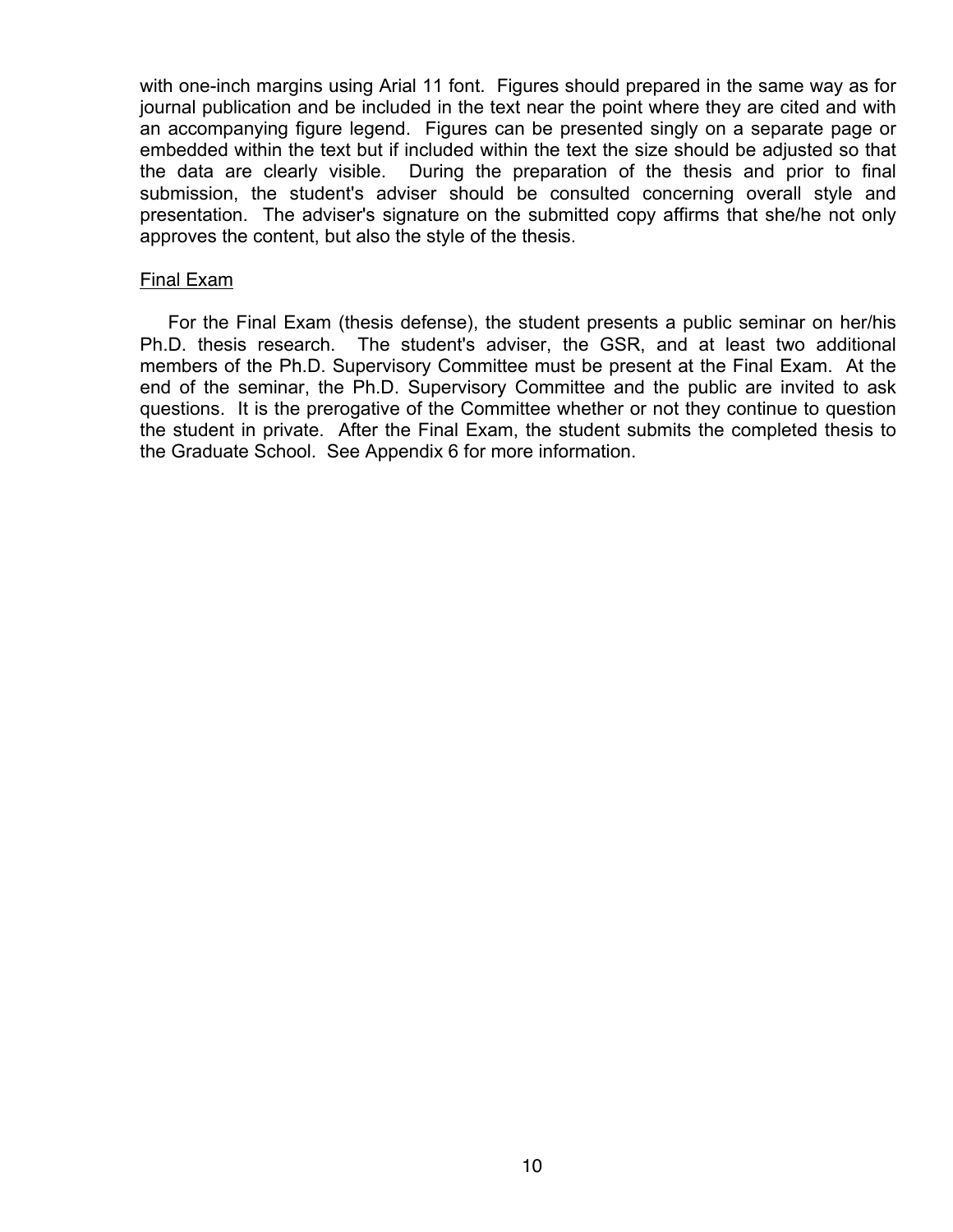with one-inch margins using Arial 11 font. Figures should prepared in the same way as for journal publication and be included in the text near the point where they are cited and with an accompanying figure legend. Figures can be presented singly on a separate page or embedded within the text but if included within the text the size should be adjusted so that the data are clearly visible. During the preparation of the thesis and prior to final submission, the student's adviser should be consulted concerning overall style and presentation. The adviser's signature on the submitted copy affirms that she/he not only approves the content, but also the style of the thesis.

#### Final Exam

For the Final Exam (thesis defense), the student presents a public seminar on her/his Ph.D. thesis research. The student's adviser, the GSR, and at least two additional members of the Ph.D. Supervisory Committee must be present at the Final Exam. At the end of the seminar, the Ph.D. Supervisory Committee and the public are invited to ask questions. It is the prerogative of the Committee whether or not they continue to question the student in private. After the Final Exam, the student submits the completed thesis to the Graduate School. See Appendix 6 for more information.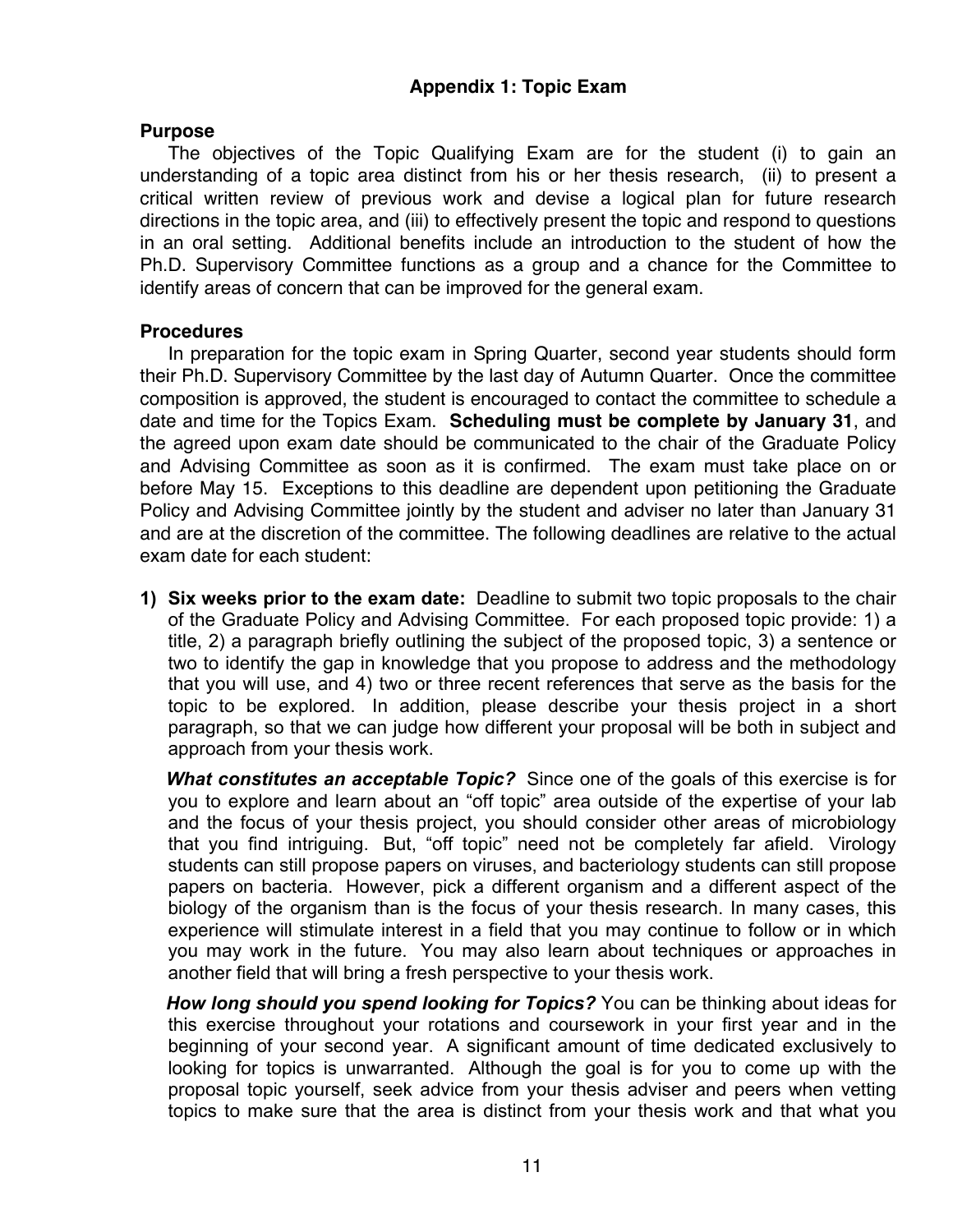#### **Purpose**

The objectives of the Topic Qualifying Exam are for the student (i) to gain an understanding of a topic area distinct from his or her thesis research, (ii) to present a critical written review of previous work and devise a logical plan for future research directions in the topic area, and (iii) to effectively present the topic and respond to questions in an oral setting. Additional benefits include an introduction to the student of how the Ph.D. Supervisory Committee functions as a group and a chance for the Committee to identify areas of concern that can be improved for the general exam.

#### **Procedures**

In preparation for the topic exam in Spring Quarter, second year students should form their Ph.D. Supervisory Committee by the last day of Autumn Quarter. Once the committee composition is approved, the student is encouraged to contact the committee to schedule a date and time for the Topics Exam. **Scheduling must be complete by January 31**, and the agreed upon exam date should be communicated to the chair of the Graduate Policy and Advising Committee as soon as it is confirmed. The exam must take place on or before May 15. Exceptions to this deadline are dependent upon petitioning the Graduate Policy and Advising Committee jointly by the student and adviser no later than January 31 and are at the discretion of the committee. The following deadlines are relative to the actual exam date for each student:

**1) Six weeks prior to the exam date:** Deadline to submit two topic proposals to the chair of the Graduate Policy and Advising Committee. For each proposed topic provide: 1) a title, 2) a paragraph briefly outlining the subject of the proposed topic, 3) a sentence or two to identify the gap in knowledge that you propose to address and the methodology that you will use, and 4) two or three recent references that serve as the basis for the topic to be explored. In addition, please describe your thesis project in a short paragraph, so that we can judge how different your proposal will be both in subject and approach from your thesis work.

**What constitutes an acceptable Topic?** Since one of the goals of this exercise is for you to explore and learn about an "off topic" area outside of the expertise of your lab and the focus of your thesis project, you should consider other areas of microbiology that you find intriguing. But, "off topic" need not be completely far afield. Virology students can still propose papers on viruses, and bacteriology students can still propose papers on bacteria. However, pick a different organism and a different aspect of the biology of the organism than is the focus of your thesis research. In many cases, this experience will stimulate interest in a field that you may continue to follow or in which you may work in the future. You may also learn about techniques or approaches in another field that will bring a fresh perspective to your thesis work.

 *How long should you spend looking for Topics?* You can be thinking about ideas for this exercise throughout your rotations and coursework in your first year and in the beginning of your second year. A significant amount of time dedicated exclusively to looking for topics is unwarranted. Although the goal is for you to come up with the proposal topic yourself, seek advice from your thesis adviser and peers when vetting topics to make sure that the area is distinct from your thesis work and that what you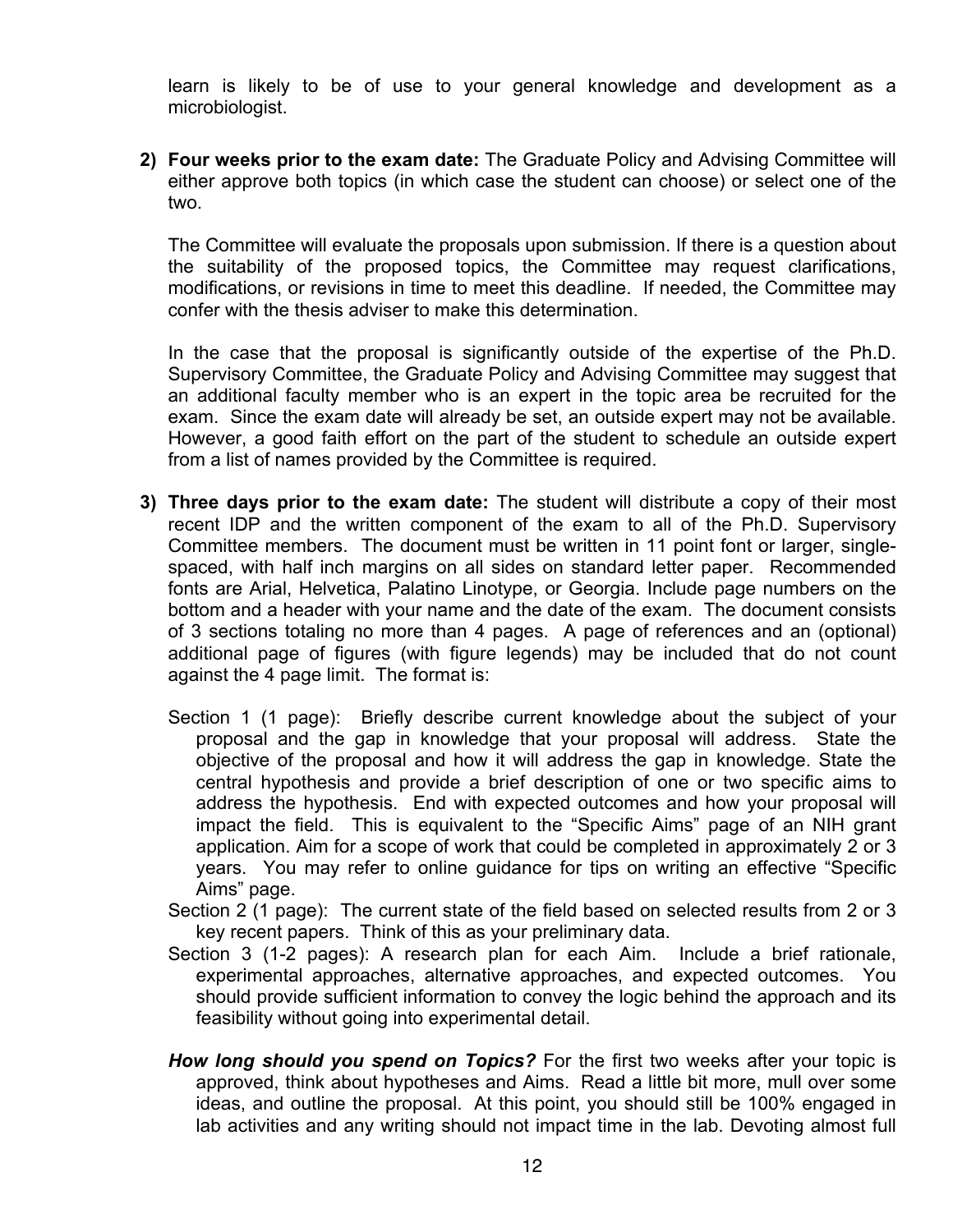learn is likely to be of use to your general knowledge and development as a microbiologist.

**2) Four weeks prior to the exam date:** The Graduate Policy and Advising Committee will either approve both topics (in which case the student can choose) or select one of the two.

The Committee will evaluate the proposals upon submission. If there is a question about the suitability of the proposed topics, the Committee may request clarifications, modifications, or revisions in time to meet this deadline. If needed, the Committee may confer with the thesis adviser to make this determination.

In the case that the proposal is significantly outside of the expertise of the Ph.D. Supervisory Committee, the Graduate Policy and Advising Committee may suggest that an additional faculty member who is an expert in the topic area be recruited for the exam. Since the exam date will already be set, an outside expert may not be available. However, a good faith effort on the part of the student to schedule an outside expert from a list of names provided by the Committee is required.

- **3) Three days prior to the exam date:** The student will distribute a copy of their most recent IDP and the written component of the exam to all of the Ph.D. Supervisory Committee members. The document must be written in 11 point font or larger, singlespaced, with half inch margins on all sides on standard letter paper. Recommended fonts are Arial, Helvetica, Palatino Linotype, or Georgia. Include page numbers on the bottom and a header with your name and the date of the exam. The document consists of 3 sections totaling no more than 4 pages. A page of references and an (optional) additional page of figures (with figure legends) may be included that do not count against the 4 page limit. The format is:
	- Section 1 (1 page): Briefly describe current knowledge about the subject of your proposal and the gap in knowledge that your proposal will address. State the objective of the proposal and how it will address the gap in knowledge. State the central hypothesis and provide a brief description of one or two specific aims to address the hypothesis. End with expected outcomes and how your proposal will impact the field. This is equivalent to the "Specific Aims" page of an NIH grant application. Aim for a scope of work that could be completed in approximately 2 or 3 years. You may refer to online guidance for tips on writing an effective "Specific Aims" page.
	- Section 2 (1 page): The current state of the field based on selected results from 2 or 3 key recent papers. Think of this as your preliminary data.
	- Section 3 (1-2 pages): A research plan for each Aim. Include a brief rationale, experimental approaches, alternative approaches, and expected outcomes. You should provide sufficient information to convey the logic behind the approach and its feasibility without going into experimental detail.
	- *How long should you spend on Topics?* For the first two weeks after your topic is approved, think about hypotheses and Aims. Read a little bit more, mull over some ideas, and outline the proposal. At this point, you should still be 100% engaged in lab activities and any writing should not impact time in the lab. Devoting almost full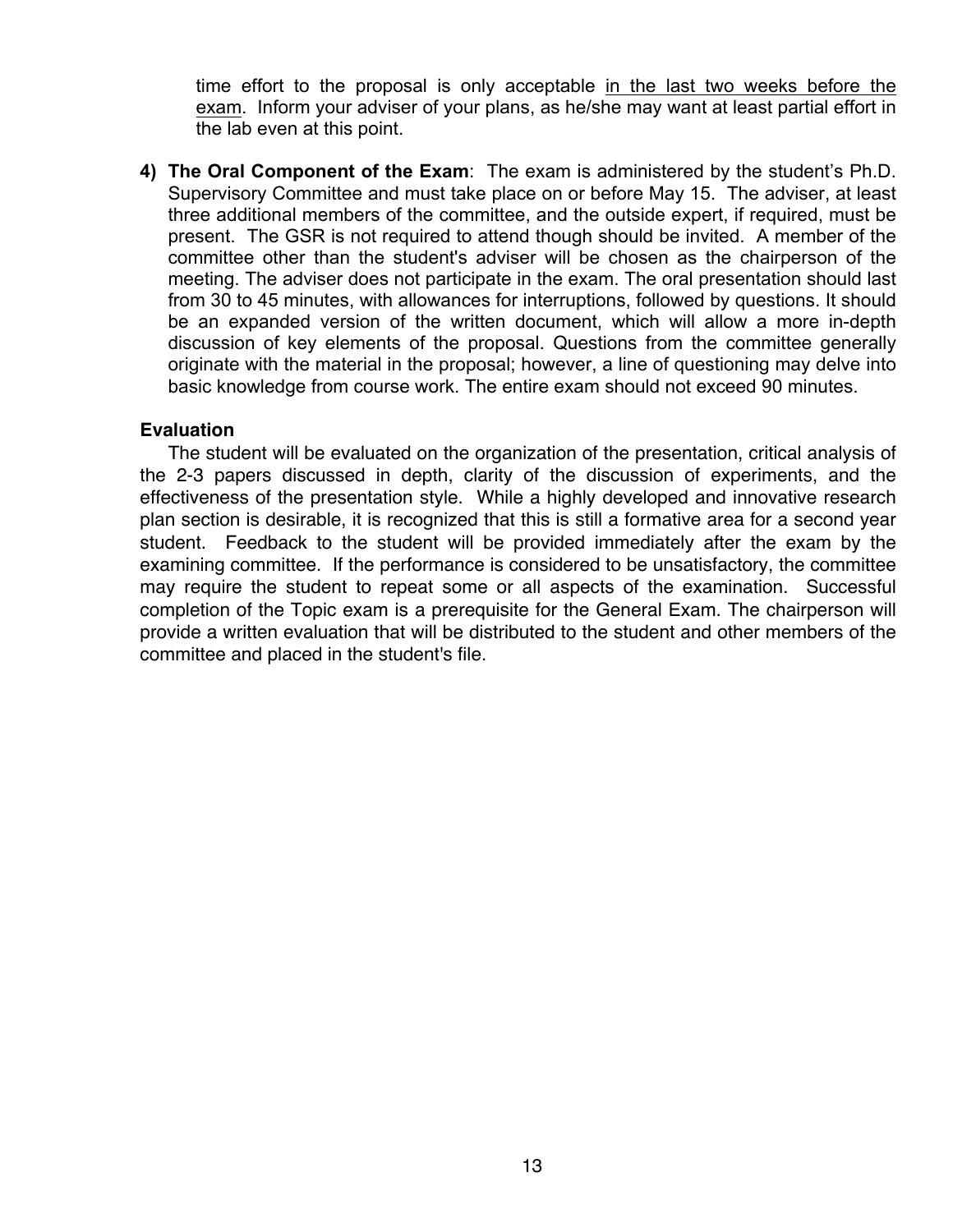time effort to the proposal is only acceptable in the last two weeks before the exam. Inform your adviser of your plans, as he/she may want at least partial effort in the lab even at this point.

**4) The Oral Component of the Exam**: The exam is administered by the student's Ph.D. Supervisory Committee and must take place on or before May 15. The adviser, at least three additional members of the committee, and the outside expert, if required, must be present. The GSR is not required to attend though should be invited. A member of the committee other than the student's adviser will be chosen as the chairperson of the meeting. The adviser does not participate in the exam. The oral presentation should last from 30 to 45 minutes, with allowances for interruptions, followed by questions. It should be an expanded version of the written document, which will allow a more in-depth discussion of key elements of the proposal. Questions from the committee generally originate with the material in the proposal; however, a line of questioning may delve into basic knowledge from course work. The entire exam should not exceed 90 minutes.

#### **Evaluation**

The student will be evaluated on the organization of the presentation, critical analysis of the 2-3 papers discussed in depth, clarity of the discussion of experiments, and the effectiveness of the presentation style. While a highly developed and innovative research plan section is desirable, it is recognized that this is still a formative area for a second year student. Feedback to the student will be provided immediately after the exam by the examining committee. If the performance is considered to be unsatisfactory, the committee may require the student to repeat some or all aspects of the examination. Successful completion of the Topic exam is a prerequisite for the General Exam. The chairperson will provide a written evaluation that will be distributed to the student and other members of the committee and placed in the student's file.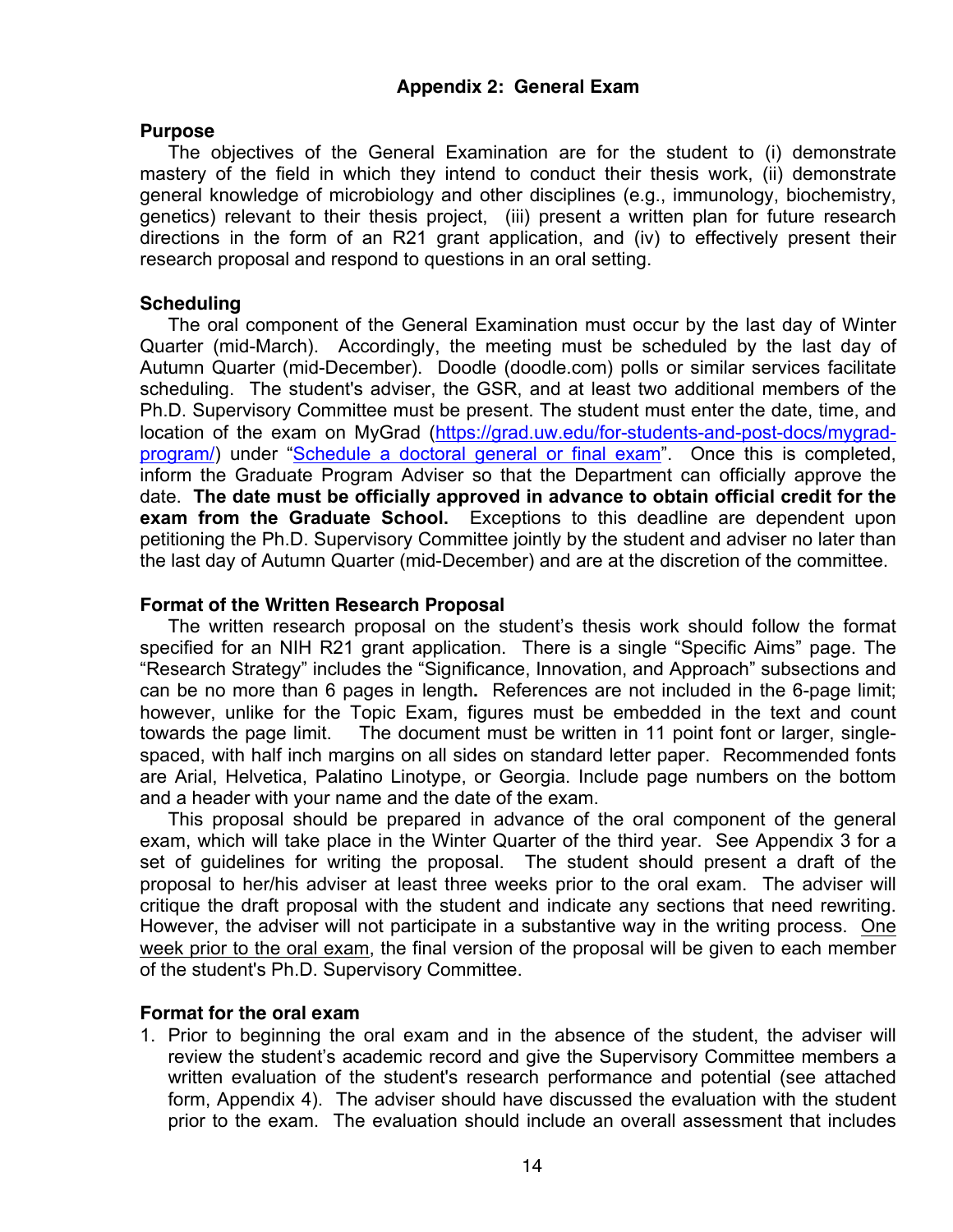#### **Purpose**

The objectives of the General Examination are for the student to (i) demonstrate mastery of the field in which they intend to conduct their thesis work, (ii) demonstrate general knowledge of microbiology and other disciplines (e.g., immunology, biochemistry, genetics) relevant to their thesis project, (iii) present a written plan for future research directions in the form of an R21 grant application, and (iv) to effectively present their research proposal and respond to questions in an oral setting.

#### **Scheduling**

The oral component of the General Examination must occur by the last day of Winter Quarter (mid-March). Accordingly, the meeting must be scheduled by the last day of Autumn Quarter (mid-December). Doodle (doodle.com) polls or similar services facilitate scheduling. The student's adviser, the GSR, and at least two additional members of the Ph.D. Supervisory Committee must be present. The student must enter the date, time, and location of the exam on MyGrad (https://grad.uw.edu/for-students-and-post-docs/mygradprogram/) under "Schedule a doctoral general or final exam". Once this is completed, inform the Graduate Program Adviser so that the Department can officially approve the date. **The date must be officially approved in advance to obtain official credit for the exam from the Graduate School.** Exceptions to this deadline are dependent upon petitioning the Ph.D. Supervisory Committee jointly by the student and adviser no later than the last day of Autumn Quarter (mid-December) and are at the discretion of the committee.

#### **Format of the Written Research Proposal**

The written research proposal on the student's thesis work should follow the format specified for an NIH R21 grant application. There is a single "Specific Aims" page. The "Research Strategy" includes the "Significance, Innovation, and Approach" subsections and can be no more than 6 pages in length**.** References are not included in the 6-page limit; however, unlike for the Topic Exam, figures must be embedded in the text and count towards the page limit. The document must be written in 11 point font or larger, singlespaced, with half inch margins on all sides on standard letter paper. Recommended fonts are Arial, Helvetica, Palatino Linotype, or Georgia. Include page numbers on the bottom and a header with your name and the date of the exam.

This proposal should be prepared in advance of the oral component of the general exam, which will take place in the Winter Quarter of the third year. See Appendix 3 for a set of guidelines for writing the proposal. The student should present a draft of the proposal to her/his adviser at least three weeks prior to the oral exam. The adviser will critique the draft proposal with the student and indicate any sections that need rewriting. However, the adviser will not participate in a substantive way in the writing process. One week prior to the oral exam, the final version of the proposal will be given to each member of the student's Ph.D. Supervisory Committee.

#### **Format for the oral exam**

1. Prior to beginning the oral exam and in the absence of the student, the adviser will review the student's academic record and give the Supervisory Committee members a written evaluation of the student's research performance and potential (see attached form, Appendix 4). The adviser should have discussed the evaluation with the student prior to the exam. The evaluation should include an overall assessment that includes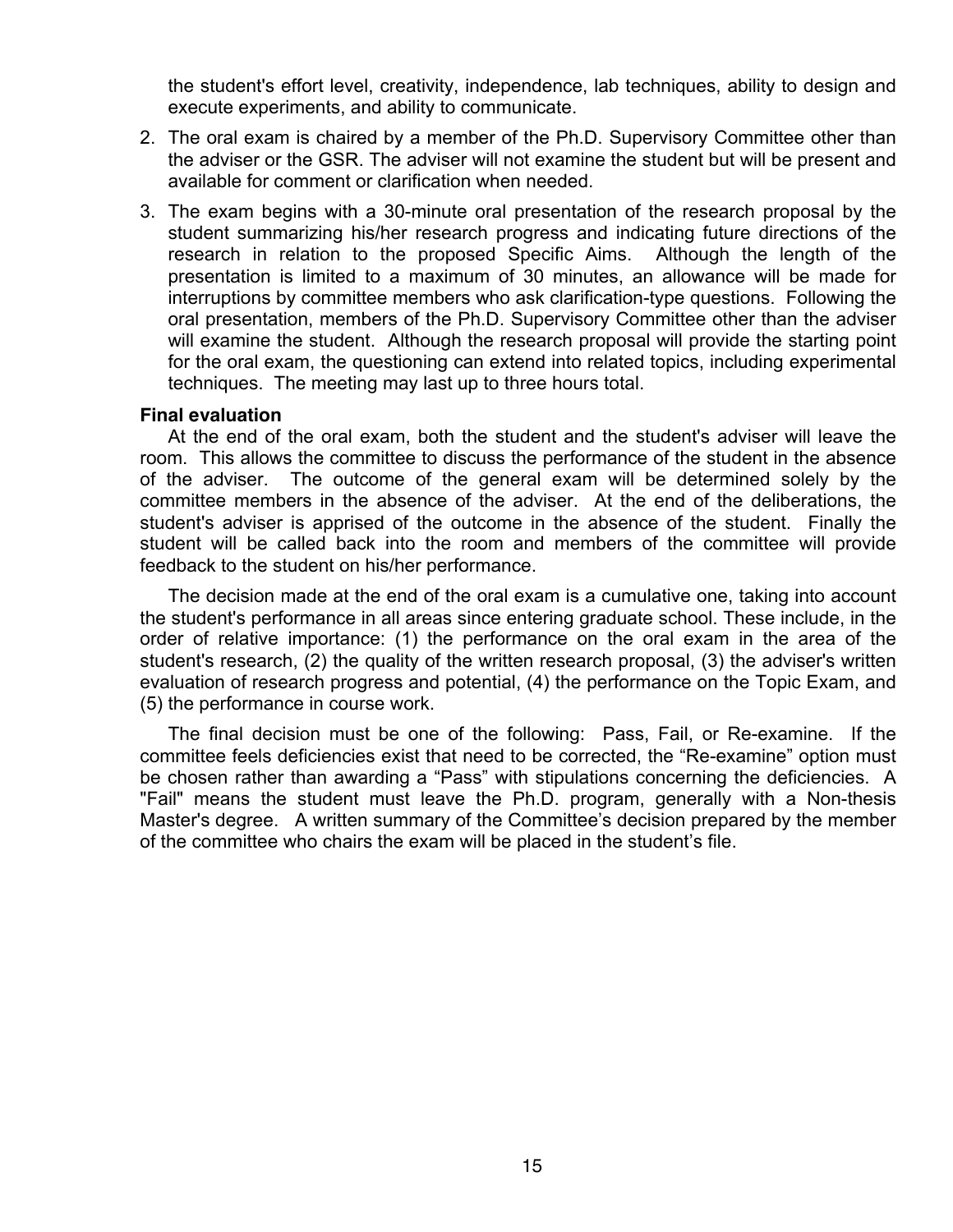the student's effort level, creativity, independence, lab techniques, ability to design and execute experiments, and ability to communicate.

- 2. The oral exam is chaired by a member of the Ph.D. Supervisory Committee other than the adviser or the GSR. The adviser will not examine the student but will be present and available for comment or clarification when needed.
- 3. The exam begins with a 30-minute oral presentation of the research proposal by the student summarizing his/her research progress and indicating future directions of the research in relation to the proposed Specific Aims. Although the length of the presentation is limited to a maximum of 30 minutes, an allowance will be made for interruptions by committee members who ask clarification-type questions. Following the oral presentation, members of the Ph.D. Supervisory Committee other than the adviser will examine the student. Although the research proposal will provide the starting point for the oral exam, the questioning can extend into related topics, including experimental techniques. The meeting may last up to three hours total.

#### **Final evaluation**

At the end of the oral exam, both the student and the student's adviser will leave the room. This allows the committee to discuss the performance of the student in the absence of the adviser. The outcome of the general exam will be determined solely by the committee members in the absence of the adviser. At the end of the deliberations, the student's adviser is apprised of the outcome in the absence of the student. Finally the student will be called back into the room and members of the committee will provide feedback to the student on his/her performance.

The decision made at the end of the oral exam is a cumulative one, taking into account the student's performance in all areas since entering graduate school. These include, in the order of relative importance: (1) the performance on the oral exam in the area of the student's research, (2) the quality of the written research proposal, (3) the adviser's written evaluation of research progress and potential, (4) the performance on the Topic Exam, and (5) the performance in course work.

The final decision must be one of the following: Pass, Fail, or Re-examine. If the committee feels deficiencies exist that need to be corrected, the "Re-examine" option must be chosen rather than awarding a "Pass" with stipulations concerning the deficiencies. A "Fail" means the student must leave the Ph.D. program, generally with a Non-thesis Master's degree. A written summary of the Committee's decision prepared by the member of the committee who chairs the exam will be placed in the student's file.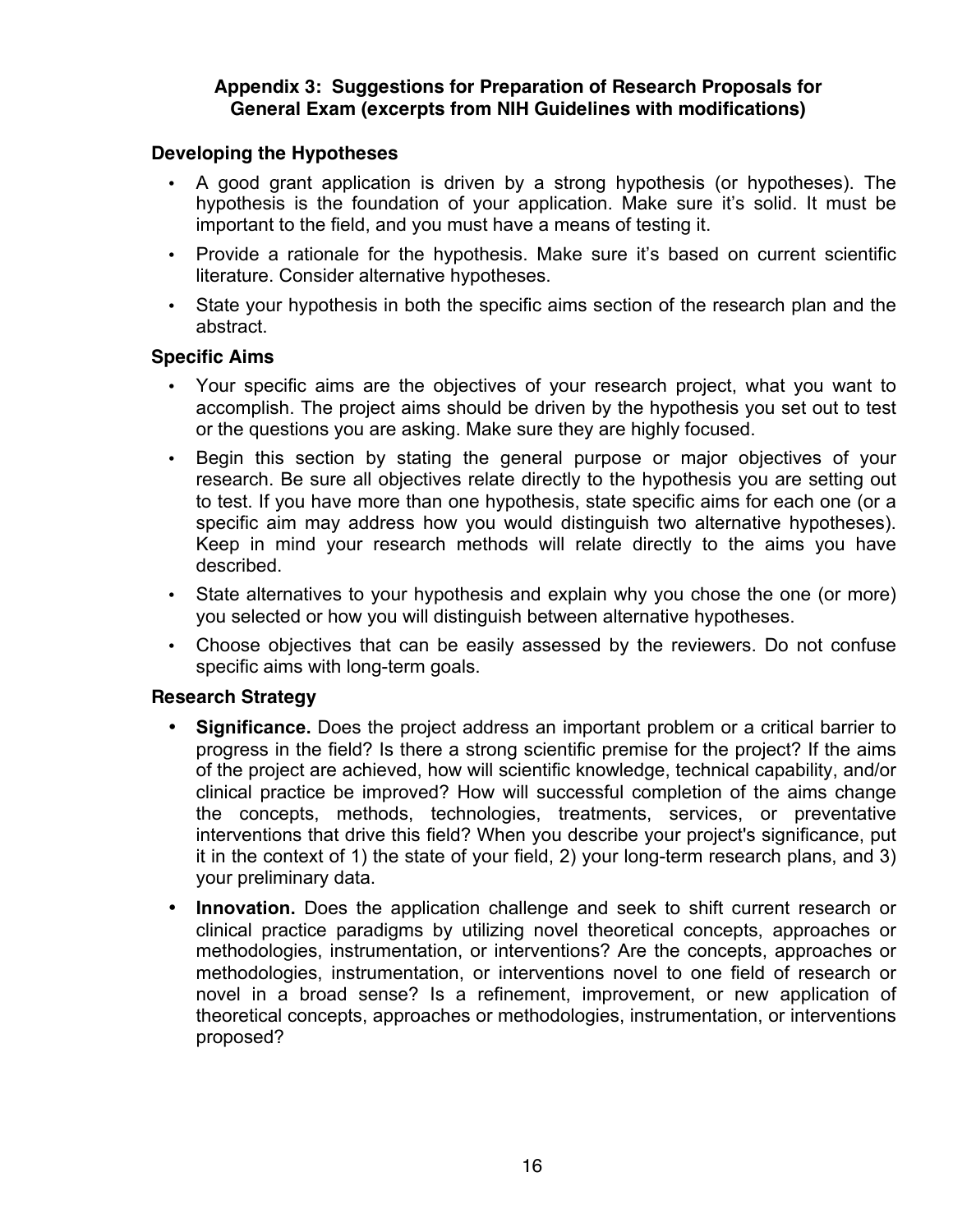#### **Appendix 3: Suggestions for Preparation of Research Proposals for General Exam (excerpts from NIH Guidelines with modifications)**

#### **Developing the Hypotheses**

- A good grant application is driven by a strong hypothesis (or hypotheses). The hypothesis is the foundation of your application. Make sure it's solid. It must be important to the field, and you must have a means of testing it.
- Provide a rationale for the hypothesis. Make sure it's based on current scientific literature. Consider alternative hypotheses.
- State your hypothesis in both the specific aims section of the research plan and the abstract.

#### **Specific Aims**

- Your specific aims are the objectives of your research project, what you want to accomplish. The project aims should be driven by the hypothesis you set out to test or the questions you are asking. Make sure they are highly focused.
- Begin this section by stating the general purpose or major objectives of your research. Be sure all objectives relate directly to the hypothesis you are setting out to test. If you have more than one hypothesis, state specific aims for each one (or a specific aim may address how you would distinguish two alternative hypotheses). Keep in mind your research methods will relate directly to the aims you have described.
- State alternatives to your hypothesis and explain why you chose the one (or more) you selected or how you will distinguish between alternative hypotheses.
- Choose objectives that can be easily assessed by the reviewers. Do not confuse specific aims with long-term goals.

#### **Research Strategy**

- **Significance.** Does the project address an important problem or a critical barrier to progress in the field? Is there a strong scientific premise for the project? If the aims of the project are achieved, how will scientific knowledge, technical capability, and/or clinical practice be improved? How will successful completion of the aims change the concepts, methods, technologies, treatments, services, or preventative interventions that drive this field? When you describe your project's significance, put it in the context of 1) the state of your field, 2) your long-term research plans, and 3) your preliminary data.
- **Innovation.** Does the application challenge and seek to shift current research or clinical practice paradigms by utilizing novel theoretical concepts, approaches or methodologies, instrumentation, or interventions? Are the concepts, approaches or methodologies, instrumentation, or interventions novel to one field of research or novel in a broad sense? Is a refinement, improvement, or new application of theoretical concepts, approaches or methodologies, instrumentation, or interventions proposed?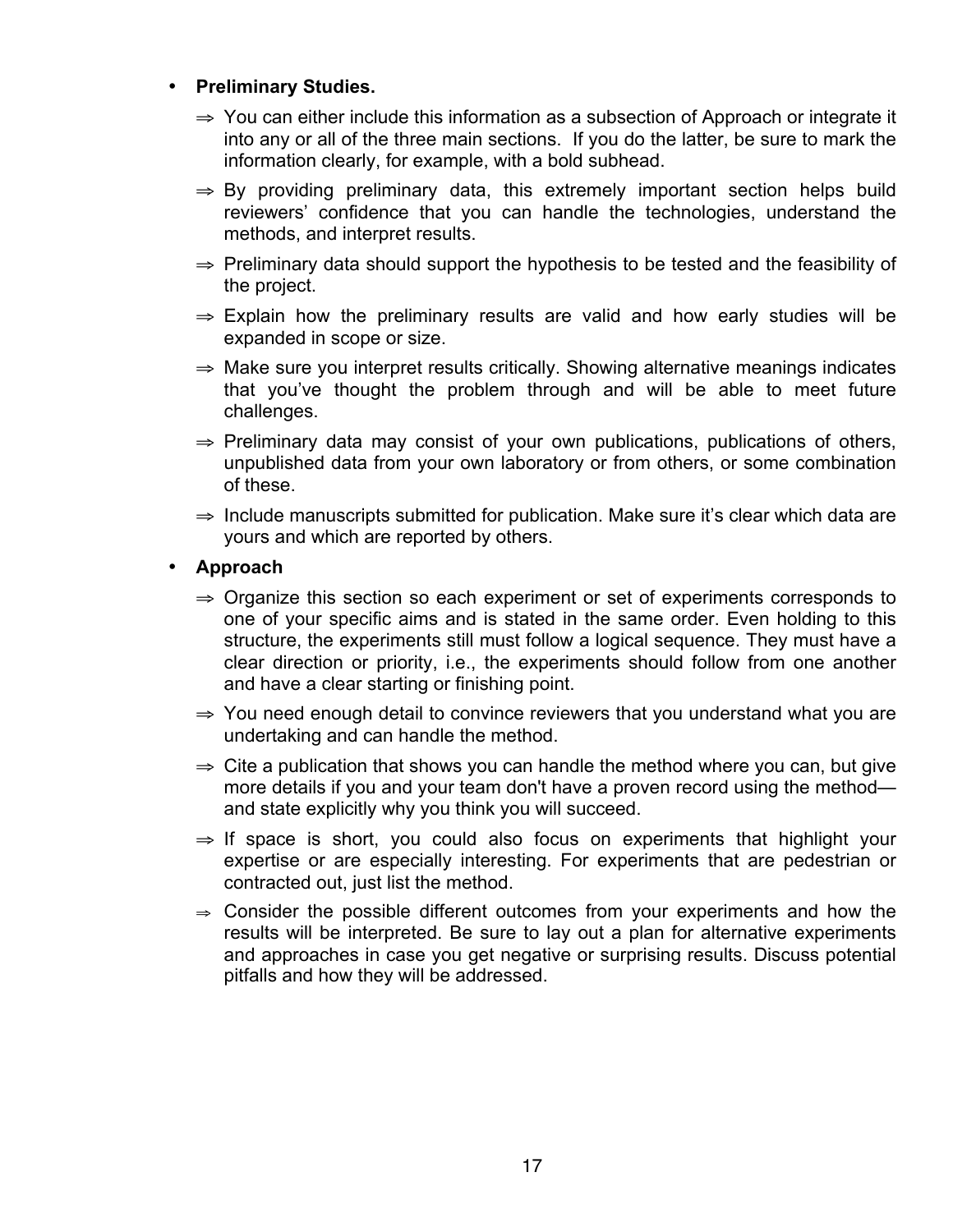#### • **Preliminary Studies.**

- ⇒ You can either include this information as a subsection of Approach or integrate it into any or all of the three main sections. If you do the latter, be sure to mark the information clearly, for example, with a bold subhead.
- $\Rightarrow$  By providing preliminary data, this extremely important section helps build reviewers' confidence that you can handle the technologies, understand the methods, and interpret results.
- ⇒ Preliminary data should support the hypothesis to be tested and the feasibility of the project.
- $\Rightarrow$  Explain how the preliminary results are valid and how early studies will be expanded in scope or size.
- ⇒ Make sure you interpret results critically. Showing alternative meanings indicates that you've thought the problem through and will be able to meet future challenges.
- $\Rightarrow$  Preliminary data may consist of your own publications, publications of others, unpublished data from your own laboratory or from others, or some combination of these.
- ⇒ Include manuscripts submitted for publication. Make sure it's clear which data are yours and which are reported by others.
- **Approach**
	- ⇒ Organize this section so each experiment or set of experiments corresponds to one of your specific aims and is stated in the same order. Even holding to this structure, the experiments still must follow a logical sequence. They must have a clear direction or priority, i.e., the experiments should follow from one another and have a clear starting or finishing point.
	- ⇒ You need enough detail to convince reviewers that you understand what you are undertaking and can handle the method.
	- $\Rightarrow$  Cite a publication that shows you can handle the method where you can, but give more details if you and your team don't have a proven record using the method and state explicitly why you think you will succeed.
	- $\Rightarrow$  If space is short, you could also focus on experiments that highlight your expertise or are especially interesting. For experiments that are pedestrian or contracted out, just list the method.
	- $\Rightarrow$  Consider the possible different outcomes from your experiments and how the results will be interpreted. Be sure to lay out a plan for alternative experiments and approaches in case you get negative or surprising results. Discuss potential pitfalls and how they will be addressed.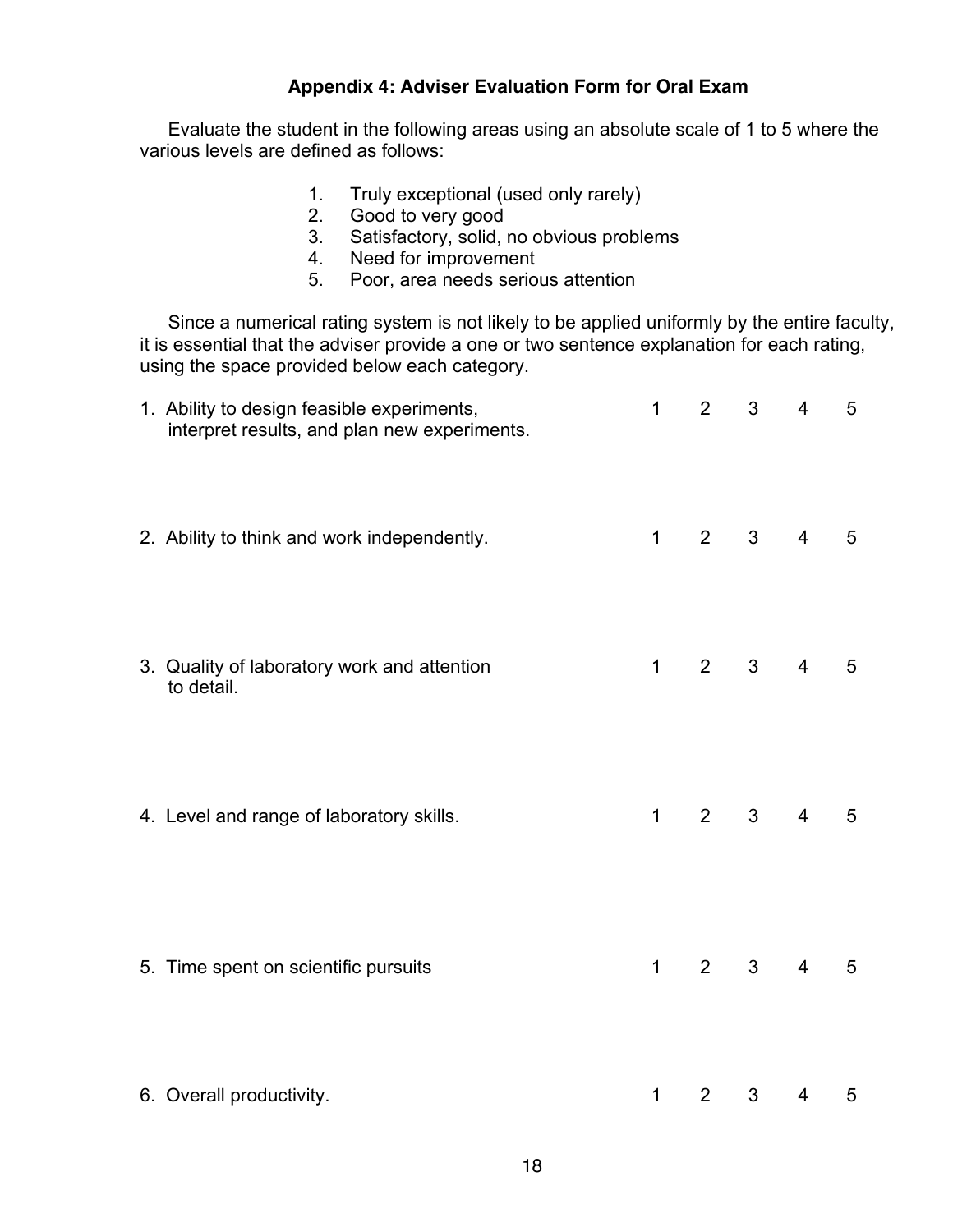#### **Appendix 4: Adviser Evaluation Form for Oral Exam**

Evaluate the student in the following areas using an absolute scale of 1 to 5 where the various levels are defined as follows:

- 1. Truly exceptional (used only rarely)
- 2. Good to very good
- 3. Satisfactory, solid, no obvious problems
- 4. Need for improvement
- 5. Poor, area needs serious attention

Since a numerical rating system is not likely to be applied uniformly by the entire faculty, it is essential that the adviser provide a one or two sentence explanation for each rating, using the space provided below each category.

| 1. Ability to design feasible experiments,<br>interpret results, and plan new experiments. | $\mathbf{1}$ | 2              | $\mathbf{3}$   | $\overline{4}$  | 5              |
|--------------------------------------------------------------------------------------------|--------------|----------------|----------------|-----------------|----------------|
| 2. Ability to think and work independently.                                                | $1 \quad$    | $2^{\circ}$    | 3 <sup>7</sup> | $4 \quad$       | 5              |
| 3. Quality of laboratory work and attention<br>to detail.                                  | $\mathbf{1}$ | $\overline{2}$ | 3 <sup>7</sup> | $4\overline{ }$ | 5              |
| 4. Level and range of laboratory skills.                                                   | $\mathbf{1}$ | $2^{\circ}$    | $3^{\circ}$    | $4 \quad$       | $5\phantom{1}$ |
| 5. Time spent on scientific pursuits                                                       | $1 \quad$    | $2^{\circ}$    | $3^{\circ}$    | $4 \quad$       | 5              |
| 6. Overall productivity.                                                                   | $\mathbf 1$  | $\overline{2}$ | $\mathbf{3}$   | $\overline{4}$  | 5              |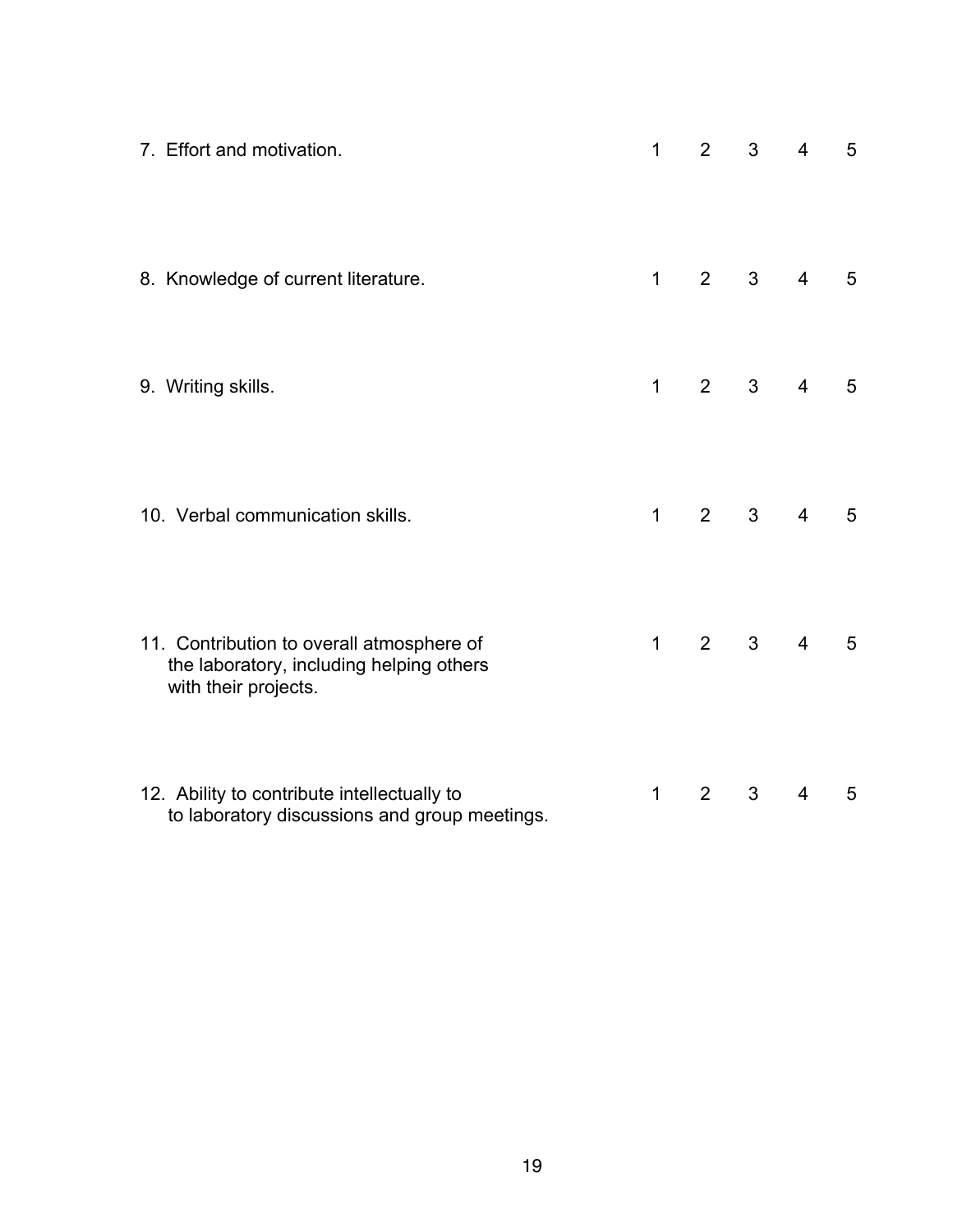| 7. Effort and motivation.                                                                                     | 1            | 2              | 3              | $\overline{4}$ | 5 |
|---------------------------------------------------------------------------------------------------------------|--------------|----------------|----------------|----------------|---|
| 8. Knowledge of current literature.                                                                           | $\mathbf 1$  | 2 <sup>1</sup> | 3 <sup>7</sup> | $\overline{4}$ | 5 |
| 9. Writing skills.                                                                                            | $\mathbf{1}$ | 2 <sup>1</sup> | 3 <sup>7</sup> | $\overline{4}$ | 5 |
| 10. Verbal communication skills.                                                                              | $\mathbf{1}$ | $\overline{2}$ | 3 <sup>7</sup> | $\overline{4}$ | 5 |
| 11. Contribution to overall atmosphere of<br>the laboratory, including helping others<br>with their projects. | $\mathbf{1}$ | $2^{\circ}$    | 3 <sup>1</sup> | $\overline{4}$ | 5 |
| 12. Ability to contribute intellectually to<br>to laboratory discussions and group meetings.                  | $\mathbf 1$  | $\overline{2}$ | 3              | $\overline{4}$ | 5 |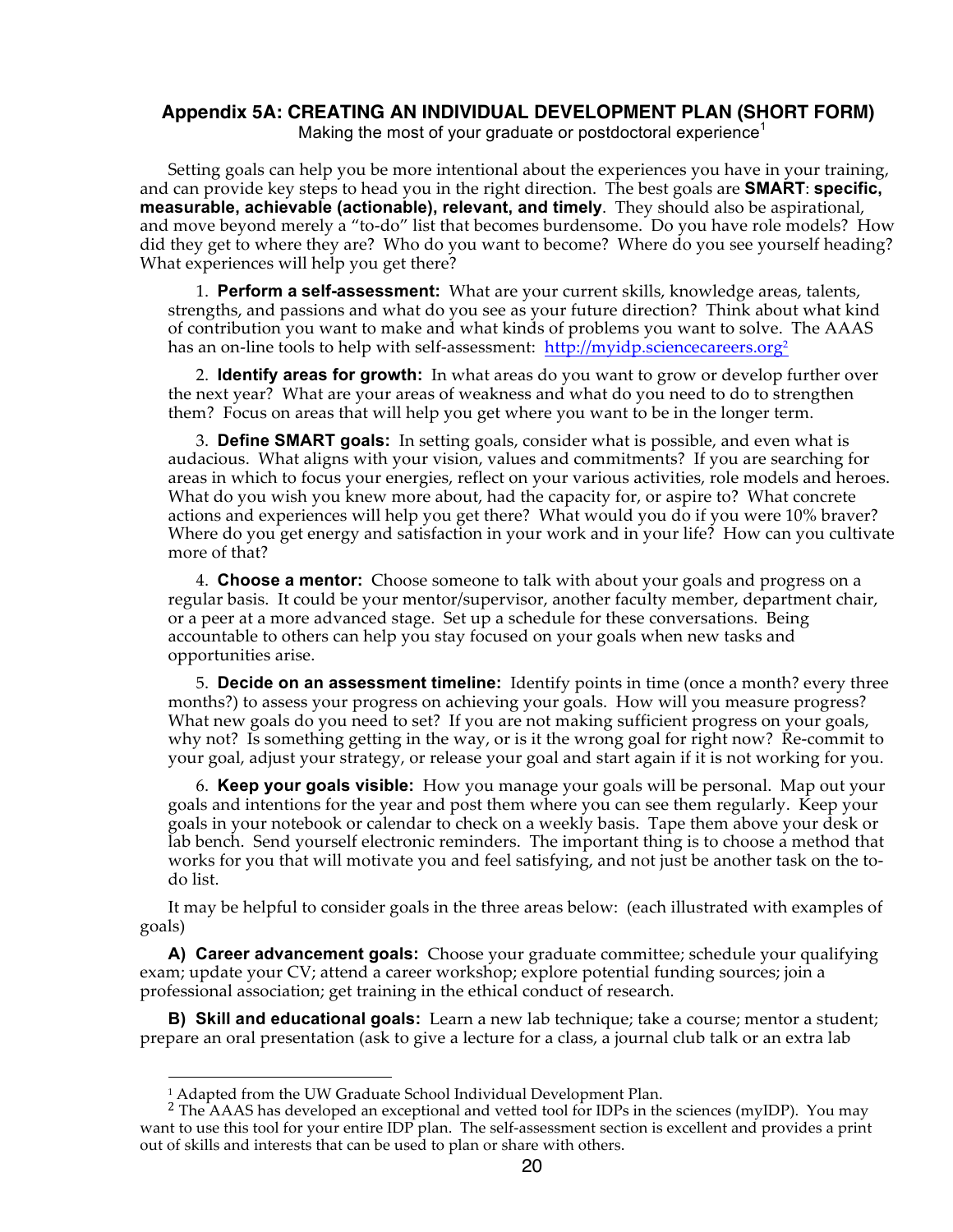# **Appendix 5A: CREATING AN INDIVIDUAL DEVELOPMENT PLAN (SHORT FORM)**

Making the most of your graduate or postdoctoral experience<sup>1</sup>

Setting goals can help you be more intentional about the experiences you have in your training, and can provide key steps to head you in the right direction. The best goals are **SMART**: **specific, measurable, achievable (actionable), relevant, and timely**. They should also be aspirational, and move beyond merely a "to-do" list that becomes burdensome. Do you have role models? How did they get to where they are? Who do you want to become? Where do you see yourself heading? What experiences will help you get there?

1. **Perform a self-assessment:** What are your current skills, knowledge areas, talents, strengths, and passions and what do you see as your future direction? Think about what kind of contribution you want to make and what kinds of problems you want to solve. The AAAS has an on-line tools to help with self-assessment: http://myidp.sciencecareers.org<sup>2</sup>

2. **Identify areas for growth:** In what areas do you want to grow or develop further over the next year? What are your areas of weakness and what do you need to do to strengthen them? Focus on areas that will help you get where you want to be in the longer term.

3. **Define SMART goals:** In setting goals, consider what is possible, and even what is audacious. What aligns with your vision, values and commitments? If you are searching for areas in which to focus your energies, reflect on your various activities, role models and heroes. What do you wish you knew more about, had the capacity for, or aspire to? What concrete actions and experiences will help you get there? What would you do if you were 10% braver? Where do you get energy and satisfaction in your work and in your life? How can you cultivate more of that?

4. **Choose a mentor:** Choose someone to talk with about your goals and progress on a regular basis. It could be your mentor/supervisor, another faculty member, department chair, or a peer at a more advanced stage. Set up a schedule for these conversations. Being accountable to others can help you stay focused on your goals when new tasks and opportunities arise.

5. **Decide on an assessment timeline:** Identify points in time (once a month? every three months?) to assess your progress on achieving your goals. How will you measure progress? What new goals do you need to set? If you are not making sufficient progress on your goals, why not? Is something getting in the way, or is it the wrong goal for right now? Re-commit to your goal, adjust your strategy, or release your goal and start again if it is not working for you.

6. **Keep your goals visible:** How you manage your goals will be personal. Map out your goals and intentions for the year and post them where you can see them regularly. Keep your goals in your notebook or calendar to check on a weekly basis. Tape them above your desk or lab bench. Send yourself electronic reminders. The important thing is to choose a method that works for you that will motivate you and feel satisfying, and not just be another task on the todo list.

It may be helpful to consider goals in the three areas below: (each illustrated with examples of goals)

**A) Career advancement goals:** Choose your graduate committee; schedule your qualifying exam; update your CV; attend a career workshop; explore potential funding sources; join a professional association; get training in the ethical conduct of research.

**B) Skill and educational goals:** Learn a new lab technique; take a course; mentor a student; prepare an oral presentation (ask to give a lecture for a class, a journal club talk or an extra lab

 $\overline{a}$ 

<sup>&</sup>lt;sup>1</sup> Adapted from the UW Graduate School Individual Development Plan. <sup>2</sup> The AAAS has developed an exceptional and vetted tool for IDPs in the sciences (myIDP). You may want to use this tool for your entire IDP plan. The self-assessment section is excellent and provides a print out of skills and interests that can be used to plan or share with others.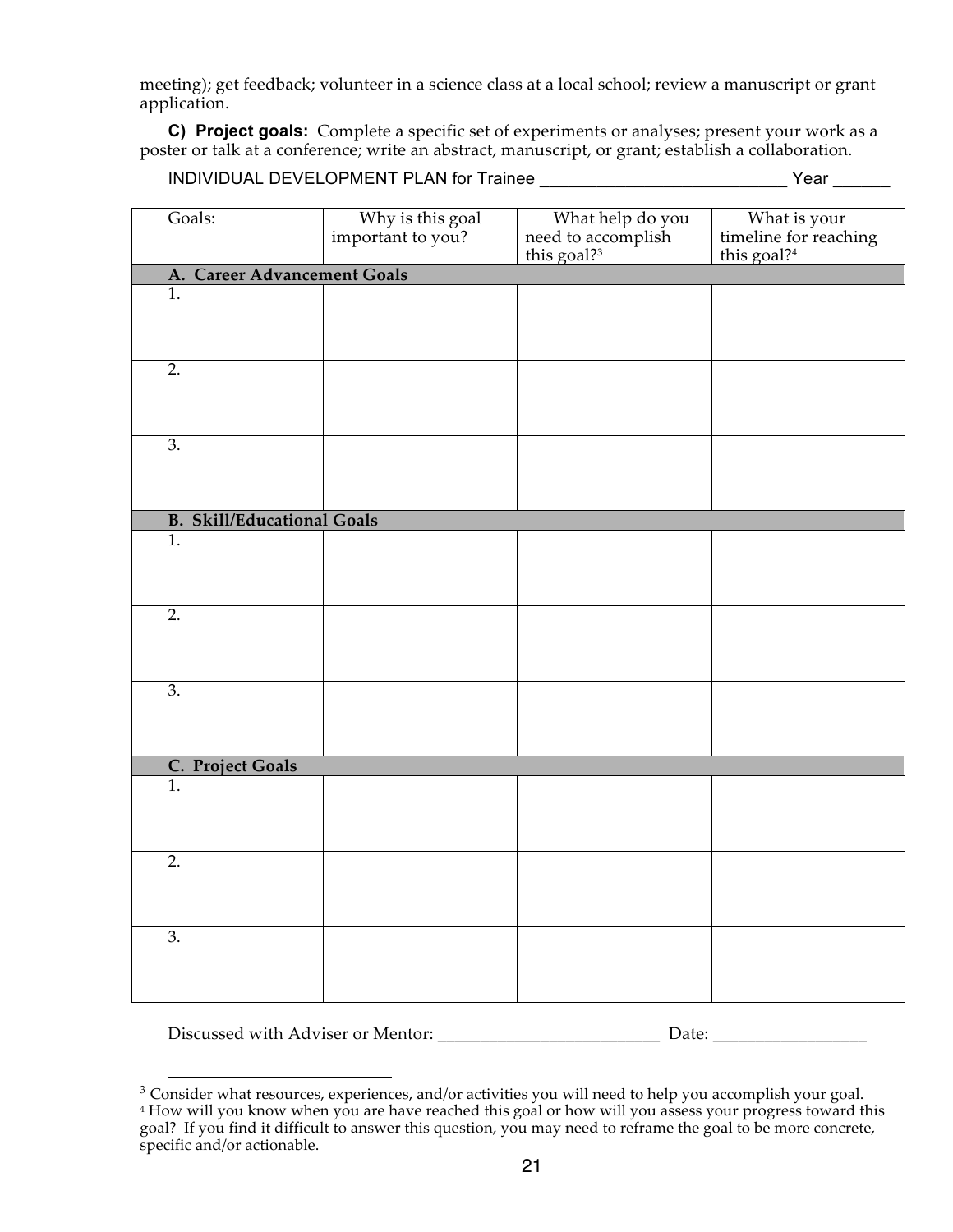meeting); get feedback; volunteer in a science class at a local school; review a manuscript or grant application.

**C) Project goals:** Complete a specific set of experiments or analyses; present your work as a poster or talk at a conference; write an abstract, manuscript, or grant; establish a collaboration.

INDIVIDUAL DEVELOPMENT PLAN for Trainee  $\bf {Year}$ 

| Goals:                            | Why is this goal<br>important to you? | What help do you<br>need to accomplish | What is your<br>timeline for reaching |
|-----------------------------------|---------------------------------------|----------------------------------------|---------------------------------------|
|                                   |                                       | this goal? <sup>3</sup>                | this goal?4                           |
| A. Career Advancement Goals       |                                       |                                        |                                       |
| 1.                                |                                       |                                        |                                       |
|                                   |                                       |                                        |                                       |
|                                   |                                       |                                        |                                       |
| $\overline{2}$ .                  |                                       |                                        |                                       |
|                                   |                                       |                                        |                                       |
|                                   |                                       |                                        |                                       |
| $\overline{3}$ .                  |                                       |                                        |                                       |
|                                   |                                       |                                        |                                       |
|                                   |                                       |                                        |                                       |
|                                   |                                       |                                        |                                       |
| <b>B.</b> Skill/Educational Goals |                                       |                                        |                                       |
| $\overline{1}$ .                  |                                       |                                        |                                       |
|                                   |                                       |                                        |                                       |
|                                   |                                       |                                        |                                       |
| $\overline{2}$ .                  |                                       |                                        |                                       |
|                                   |                                       |                                        |                                       |
|                                   |                                       |                                        |                                       |
|                                   |                                       |                                        |                                       |
| $\overline{3}$ .                  |                                       |                                        |                                       |
|                                   |                                       |                                        |                                       |
|                                   |                                       |                                        |                                       |
| C. Project Goals                  |                                       |                                        |                                       |
| $\overline{1}$ .                  |                                       |                                        |                                       |
|                                   |                                       |                                        |                                       |
|                                   |                                       |                                        |                                       |
|                                   |                                       |                                        |                                       |
| $\overline{2}$ .                  |                                       |                                        |                                       |
|                                   |                                       |                                        |                                       |
|                                   |                                       |                                        |                                       |
| 3.                                |                                       |                                        |                                       |
|                                   |                                       |                                        |                                       |
|                                   |                                       |                                        |                                       |
|                                   |                                       |                                        |                                       |

Discussed with Adviser or Mentor: \_\_\_\_\_\_\_\_\_\_\_\_\_\_\_\_\_\_\_\_\_\_\_\_\_\_\_\_\_\_\_\_\_\_\_ Date: \_\_\_\_\_\_\_\_\_\_\_\_\_\_\_\_\_\_\_\_\_\_\_\_\_\_\_\_\_\_\_\_\_\_

<sup>&</sup>lt;sup>3</sup> Consider what resources, experiences, and/or activities you will need to help you accomplish your goal. <sup>4</sup> How will you know when you are have reached this goal or how will you assess your progress toward this goal? If you find it difficult to answer this question, you may need to reframe the goal to be more concrete, specific and/or actionable.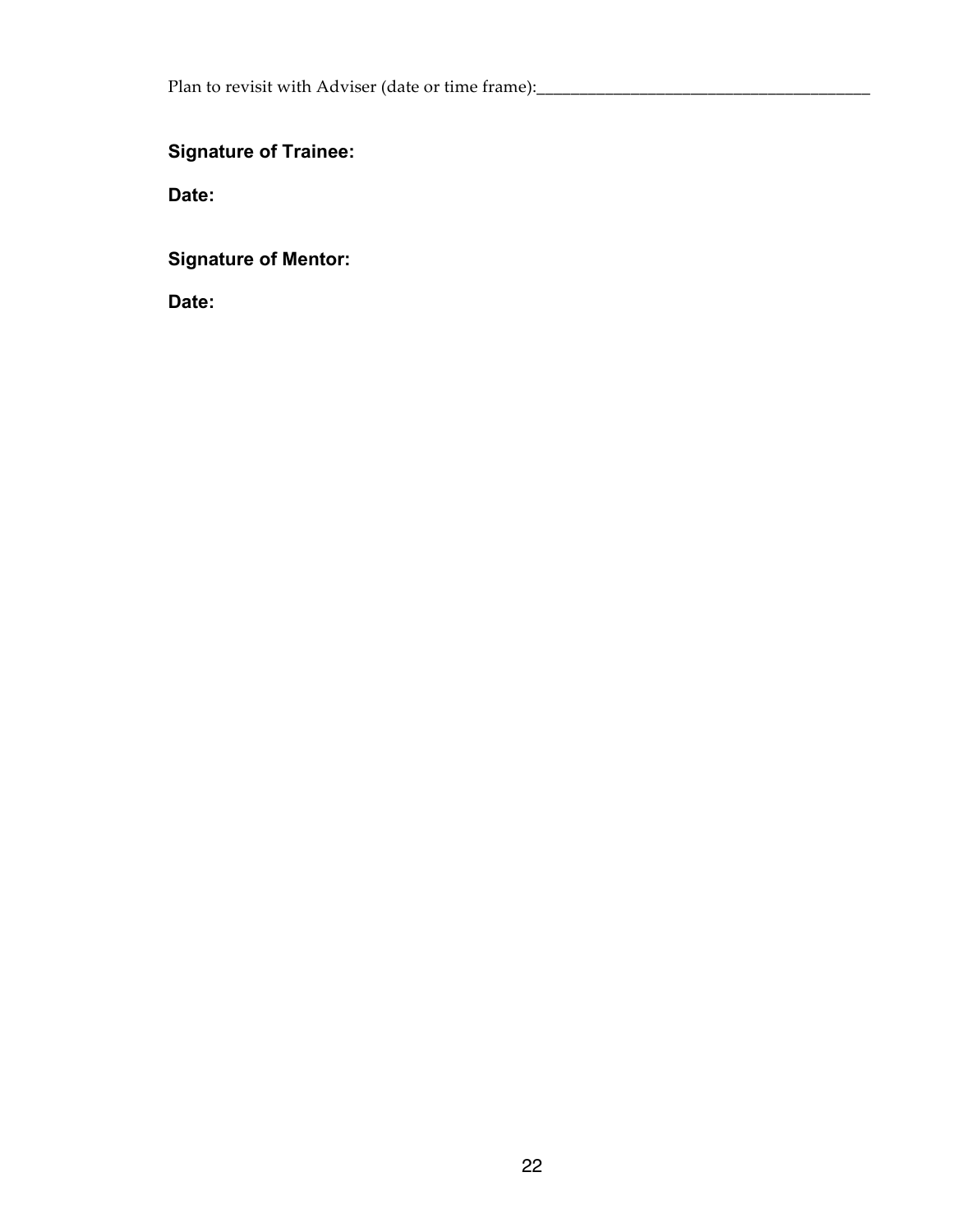# **Signature of Trainee:**

**Date:**

**Signature of Mentor:**

**Date:**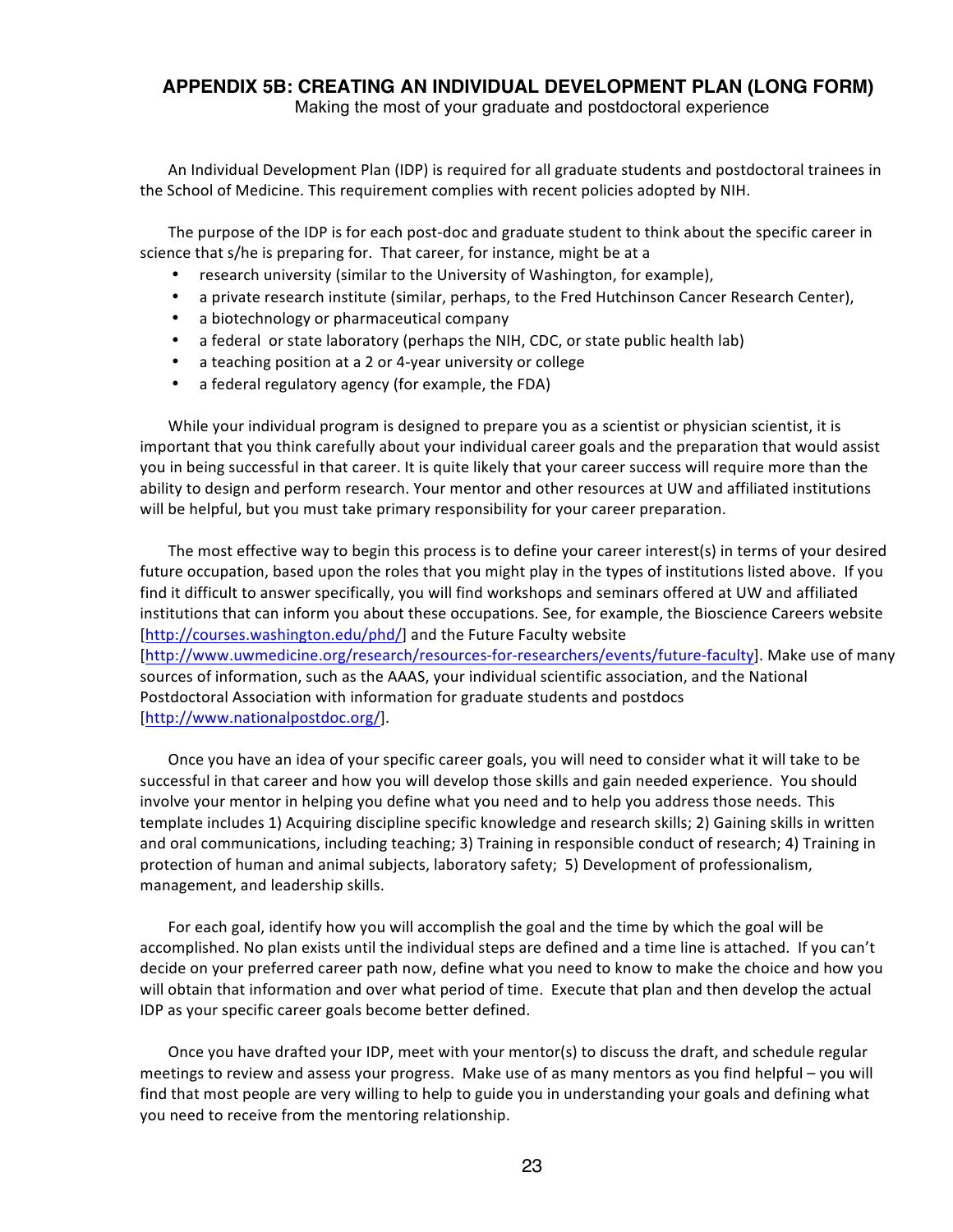# **APPENDIX 5B: CREATING AN INDIVIDUAL DEVELOPMENT PLAN (LONG FORM)**

Making the most of your graduate and postdoctoral experience

An Individual Development Plan (IDP) is required for all graduate students and postdoctoral trainees in the School of Medicine. This requirement complies with recent policies adopted by NIH.

The purpose of the IDP is for each post-doc and graduate student to think about the specific career in science that s/he is preparing for. That career, for instance, might be at a

- research university (similar to the University of Washington, for example),
- a private research institute (similar, perhaps, to the Fred Hutchinson Cancer Research Center),
- a biotechnology or pharmaceutical company
- a federal or state laboratory (perhaps the NIH, CDC, or state public health lab)
- a teaching position at a 2 or 4-year university or college
- a federal regulatory agency (for example, the FDA)

While your individual program is designed to prepare you as a scientist or physician scientist, it is important that you think carefully about your individual career goals and the preparation that would assist you in being successful in that career. It is quite likely that your career success will require more than the ability to design and perform research. Your mentor and other resources at UW and affiliated institutions will be helpful, but you must take primary responsibility for your career preparation.

The most effective way to begin this process is to define your career interest(s) in terms of your desired future occupation, based upon the roles that you might play in the types of institutions listed above. If you find it difficult to answer specifically, you will find workshops and seminars offered at UW and affiliated institutions that can inform you about these occupations. See, for example, the Bioscience Careers website [http://courses.washington.edu/phd/] and the Future Faculty website [http://www.uwmedicine.org/research/resources-for-researchers/events/future-faculty]. Make use of many sources of information, such as the AAAS, your individual scientific association, and the National Postdoctoral Association with information for graduate students and postdocs [http://www.nationalpostdoc.org/].

Once you have an idea of your specific career goals, you will need to consider what it will take to be successful in that career and how you will develop those skills and gain needed experience. You should involve your mentor in helping you define what you need and to help you address those needs. This template includes 1) Acquiring discipline specific knowledge and research skills; 2) Gaining skills in written and oral communications, including teaching; 3) Training in responsible conduct of research; 4) Training in protection of human and animal subjects, laboratory safety; 5) Development of professionalism, management, and leadership skills.

For each goal, identify how you will accomplish the goal and the time by which the goal will be accomplished. No plan exists until the individual steps are defined and a time line is attached. If you can't decide on your preferred career path now, define what you need to know to make the choice and how you will obtain that information and over what period of time. Execute that plan and then develop the actual IDP as your specific career goals become better defined.

Once you have drafted your IDP, meet with your mentor(s) to discuss the draft, and schedule regular meetings to review and assess your progress. Make use of as many mentors as you find helpful – you will find that most people are very willing to help to guide you in understanding your goals and defining what you need to receive from the mentoring relationship.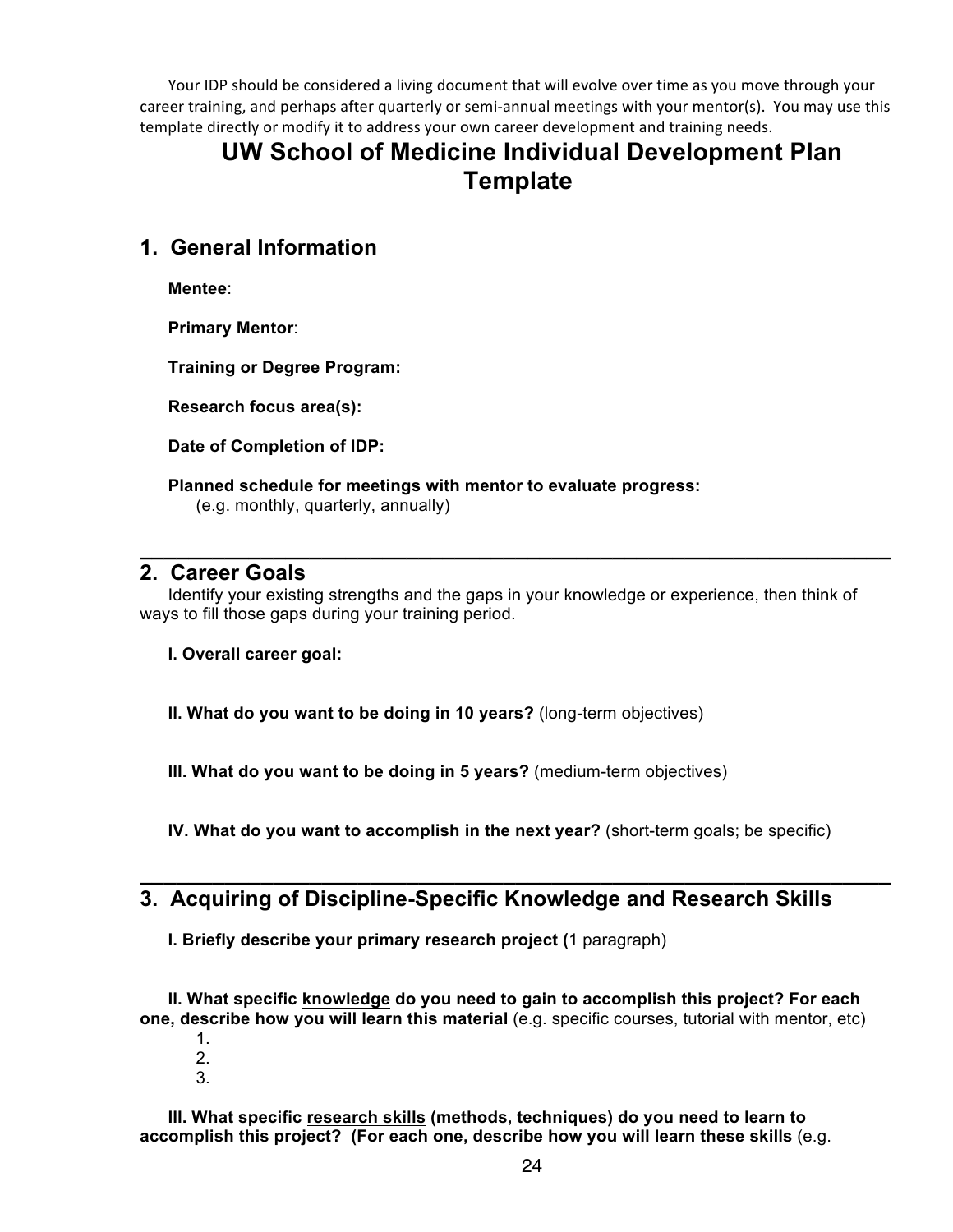Your IDP should be considered a living document that will evolve over time as you move through your career training, and perhaps after quarterly or semi-annual meetings with your mentor(s). You may use this template directly or modify it to address your own career development and training needs.

# **UW School of Medicine Individual Development Plan Template**

# **1. General Information**

**Mentee**:

**Primary Mentor**:

**Training or Degree Program:** 

**Research focus area(s):**

**Date of Completion of IDP:**

**Planned schedule for meetings with mentor to evaluate progress:**

(e.g. monthly, quarterly, annually)

#### **2. Career Goals**

Identify your existing strengths and the gaps in your knowledge or experience, then think of ways to fill those gaps during your training period.

**\_\_\_\_\_\_\_\_\_\_\_\_\_\_\_\_\_\_\_\_\_\_\_\_\_\_\_\_\_\_\_\_\_\_\_\_\_\_\_\_\_\_\_\_\_\_\_\_\_\_\_\_\_\_\_\_\_\_\_\_\_\_**

#### **I. Overall career goal:**

**II. What do you want to be doing in 10 years?** (long-term objectives)

**III. What do you want to be doing in 5 years?** (medium-term objectives)

**IV. What do you want to accomplish in the next year?** (short-term goals; be specific)

**\_\_\_\_\_\_\_\_\_\_\_\_\_\_\_\_\_\_\_\_\_\_\_\_\_\_\_\_\_\_\_\_\_\_\_\_\_\_\_\_\_\_\_\_\_\_\_\_\_\_\_\_\_\_\_\_\_\_\_\_\_\_**

# **3. Acquiring of Discipline-Specific Knowledge and Research Skills**

**I. Briefly describe your primary research project (**1 paragraph)

**II. What specific knowledge do you need to gain to accomplish this project? For each one, describe how you will learn this material** (e.g. specific courses, tutorial with mentor, etc)

- 1. 2.
- 3.

**III. What specific research skills (methods, techniques) do you need to learn to accomplish this project? (For each one, describe how you will learn these skills** (e.g.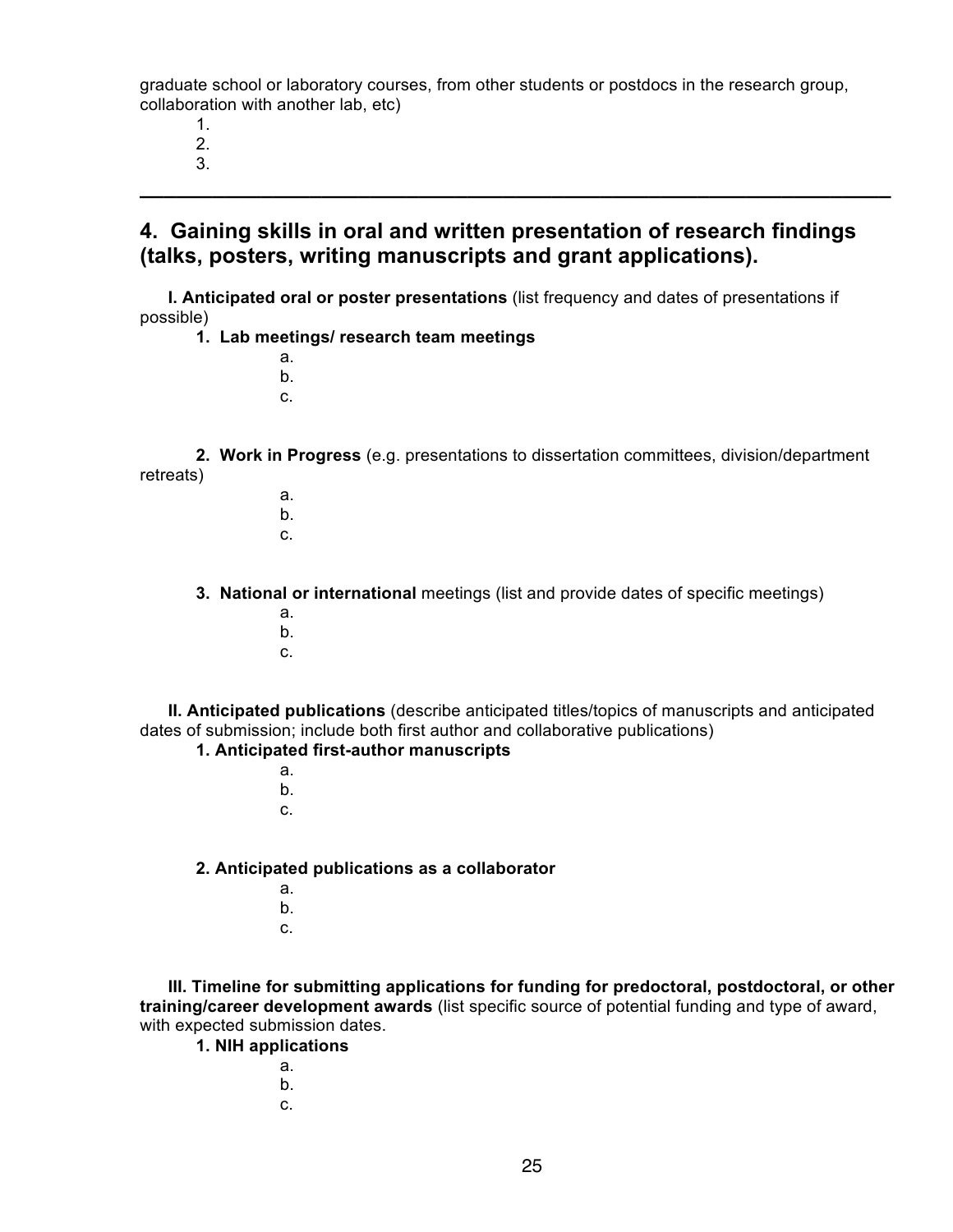graduate school or laboratory courses, from other students or postdocs in the research group, collaboration with another lab, etc)

1. 2.

3.

# **4. Gaining skills in oral and written presentation of research findings (talks, posters, writing manuscripts and grant applications).**

**\_\_\_\_\_\_\_\_\_\_\_\_\_\_\_\_\_\_\_\_\_\_\_\_\_\_\_\_\_\_\_\_\_\_\_\_\_\_\_\_\_\_\_\_\_\_\_\_\_\_\_\_\_\_\_\_\_\_\_\_\_\_**

**I. Anticipated oral or poster presentations** (list frequency and dates of presentations if possible)

- **1. Lab meetings/ research team meetings**
	- a. b.
	- c.

**2. Work in Progress** (e.g. presentations to dissertation committees, division/department retreats)

- a. b.
- c.

**3. National or international** meetings (list and provide dates of specific meetings)

- a.
- b.
- c.

**II. Anticipated publications** (describe anticipated titles/topics of manuscripts and anticipated dates of submission; include both first author and collaborative publications)

#### **1. Anticipated first-author manuscripts**

- a.
- b.
- c.

#### **2. Anticipated publications as a collaborator**

- a.
- b.
- c.

**III. Timeline for submitting applications for funding for predoctoral, postdoctoral, or other training/career development awards** (list specific source of potential funding and type of award, with expected submission dates.

**1. NIH applications**

- a. b.
- c.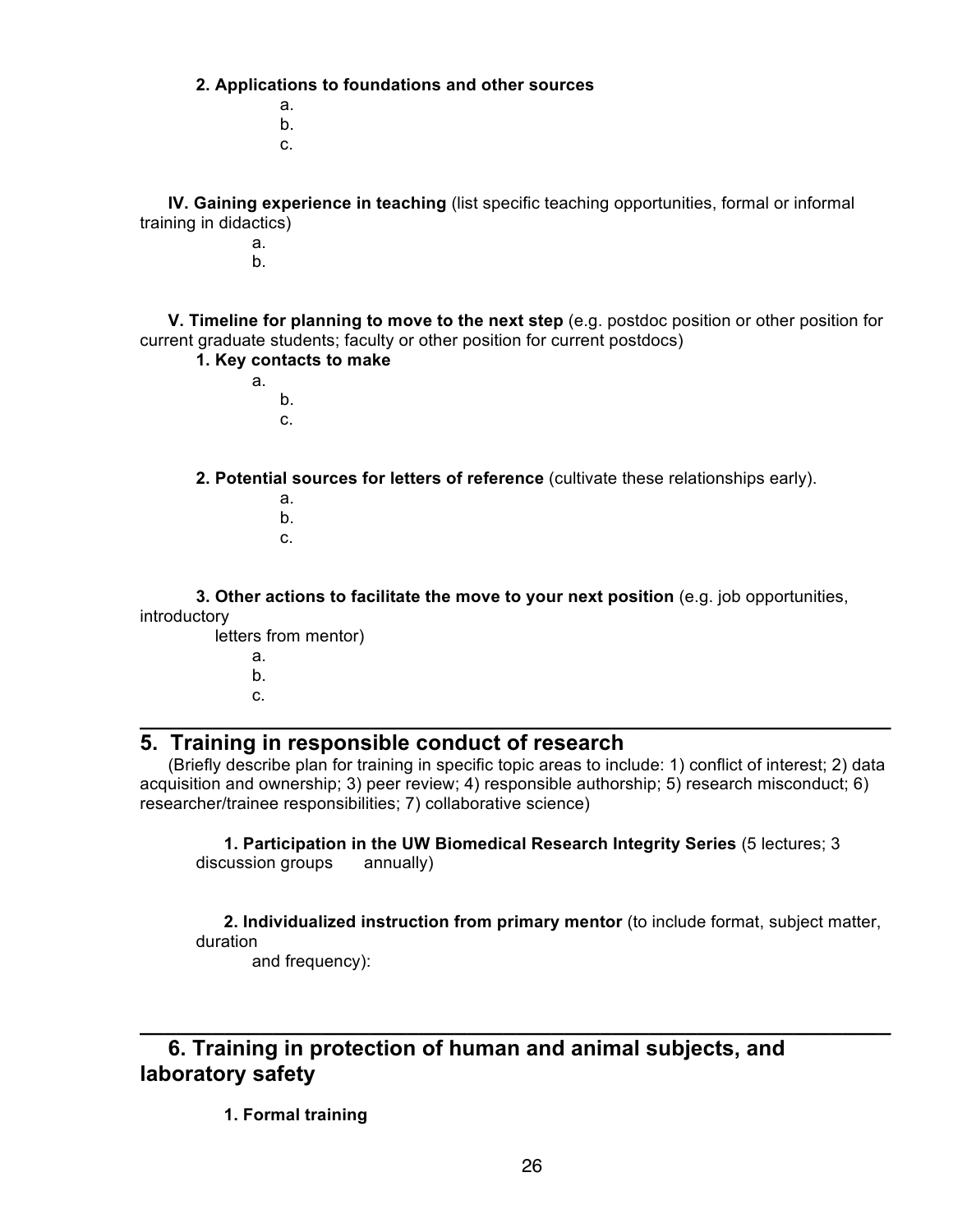**2. Applications to foundations and other sources**

a. b. c.

**IV. Gaining experience in teaching** (list specific teaching opportunities, formal or informal training in didactics)

> a. b.

**V. Timeline for planning to move to the next step** (e.g. postdoc position or other position for current graduate students; faculty or other position for current postdocs)

**1. Key contacts to make**

a. b. c.

**2. Potential sources for letters of reference** (cultivate these relationships early).

- a. b.
- c.

**3. Other actions to facilitate the move to your next position** (e.g. job opportunities, introductory

letters from mentor)

a. b. c.

#### **5. Training in responsible conduct of research**

(Briefly describe plan for training in specific topic areas to include: 1) conflict of interest; 2) data acquisition and ownership; 3) peer review; 4) responsible authorship; 5) research misconduct; 6) researcher/trainee responsibilities; 7) collaborative science)

**\_\_\_\_\_\_\_\_\_\_\_\_\_\_\_\_\_\_\_\_\_\_\_\_\_\_\_\_\_\_\_\_\_\_\_\_\_\_\_\_\_\_\_\_\_\_\_\_\_\_\_\_\_\_\_\_\_\_\_\_\_\_**

**1. Participation in the UW Biomedical Research Integrity Series** (5 lectures; 3 discussion groups annually)

**\_\_\_\_\_\_\_\_\_\_\_\_\_\_\_\_\_\_\_\_\_\_\_\_\_\_\_\_\_\_\_\_\_\_\_\_\_\_\_\_\_\_\_\_\_\_\_\_\_\_\_\_\_\_\_\_\_\_\_\_\_\_**

**2. Individualized instruction from primary mentor** (to include format, subject matter, duration

and frequency):

**6. Training in protection of human and animal subjects, and laboratory safety**

**1. Formal training**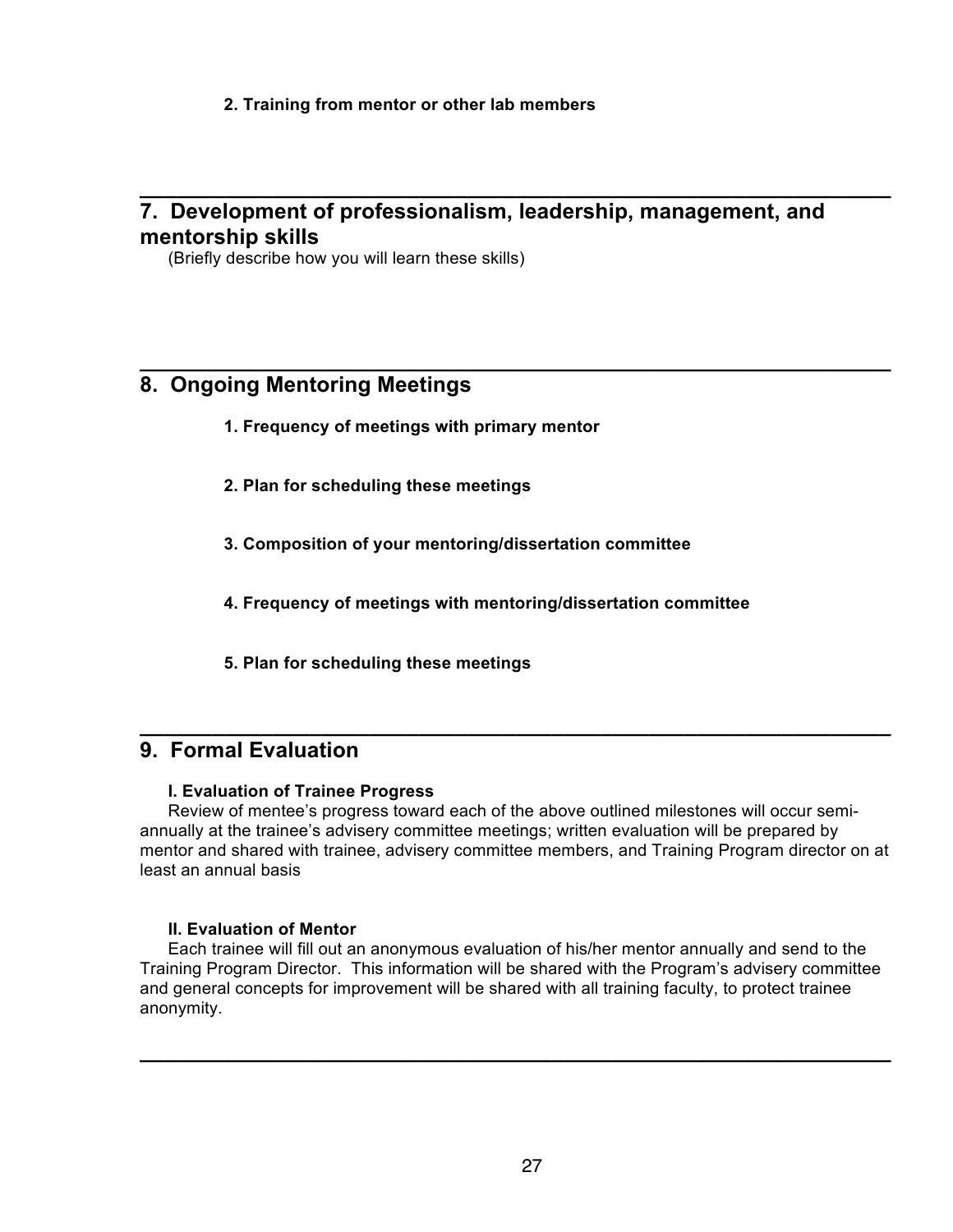**2. Training from mentor or other lab members**

# **7. Development of professionalism, leadership, management, and mentorship skills**

**\_\_\_\_\_\_\_\_\_\_\_\_\_\_\_\_\_\_\_\_\_\_\_\_\_\_\_\_\_\_\_\_\_\_\_\_\_\_\_\_\_\_\_\_\_\_\_\_\_\_\_\_\_\_\_\_\_\_\_\_\_\_**

**\_\_\_\_\_\_\_\_\_\_\_\_\_\_\_\_\_\_\_\_\_\_\_\_\_\_\_\_\_\_\_\_\_\_\_\_\_\_\_\_\_\_\_\_\_\_\_\_\_\_\_\_\_\_\_\_\_\_\_\_\_\_**

(Briefly describe how you will learn these skills)

# **8. Ongoing Mentoring Meetings**

- **1. Frequency of meetings with primary mentor**
- **2. Plan for scheduling these meetings**
- **3. Composition of your mentoring/dissertation committee**
- **4. Frequency of meetings with mentoring/dissertation committee**
- **5. Plan for scheduling these meetings**

# **9. Formal Evaluation**

#### **I. Evaluation of Trainee Progress**

Review of mentee's progress toward each of the above outlined milestones will occur semiannually at the trainee's advisery committee meetings; written evaluation will be prepared by mentor and shared with trainee, advisery committee members, and Training Program director on at least an annual basis

**\_\_\_\_\_\_\_\_\_\_\_\_\_\_\_\_\_\_\_\_\_\_\_\_\_\_\_\_\_\_\_\_\_\_\_\_\_\_\_\_\_\_\_\_\_\_\_\_\_\_\_\_\_\_\_\_\_\_\_\_\_\_**

#### **II. Evaluation of Mentor**

Each trainee will fill out an anonymous evaluation of his/her mentor annually and send to the Training Program Director. This information will be shared with the Program's advisery committee and general concepts for improvement will be shared with all training faculty, to protect trainee anonymity.

**\_\_\_\_\_\_\_\_\_\_\_\_\_\_\_\_\_\_\_\_\_\_\_\_\_\_\_\_\_\_\_\_\_\_\_\_\_\_\_\_\_\_\_\_\_\_\_\_\_\_\_\_\_\_\_\_\_\_\_\_\_\_**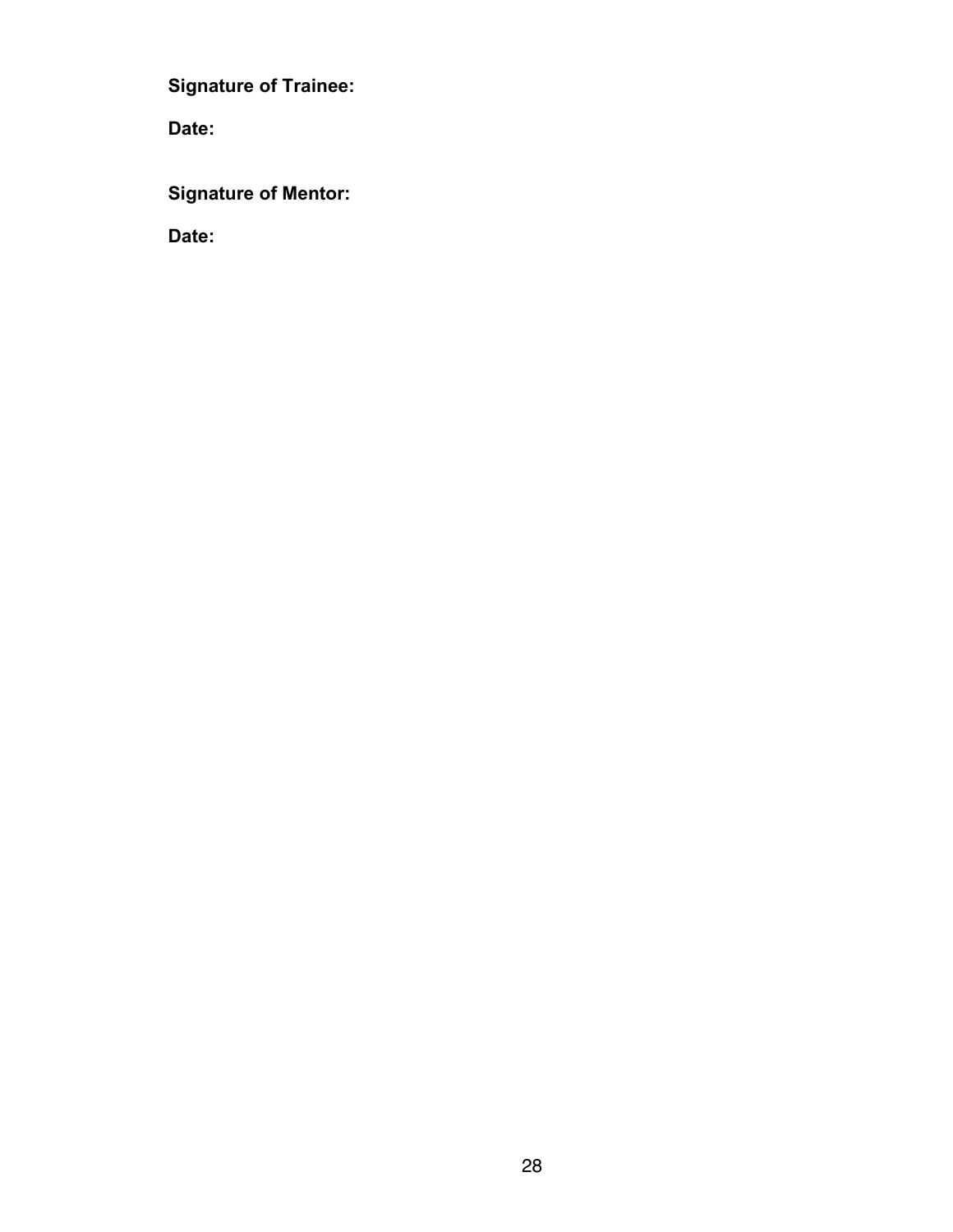**Signature of Trainee:**

**Date:**

**Signature of Mentor:**

**Date:**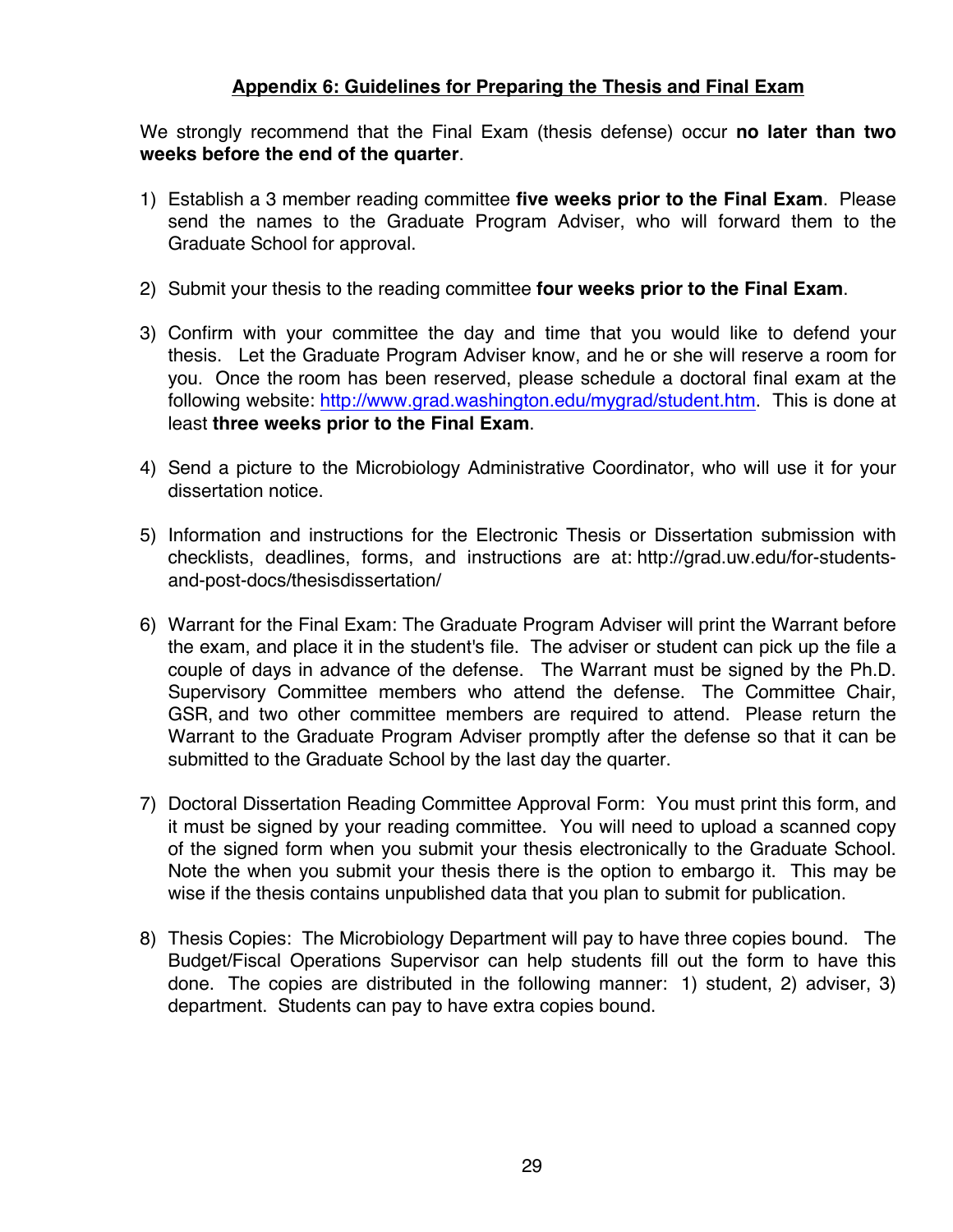#### **Appendix 6: Guidelines for Preparing the Thesis and Final Exam**

We strongly recommend that the Final Exam (thesis defense) occur **no later than two weeks before the end of the quarter**.

- 1) Establish a 3 member reading committee **five weeks prior to the Final Exam**. Please send the names to the Graduate Program Adviser, who will forward them to the Graduate School for approval.
- 2) Submit your thesis to the reading committee **four weeks prior to the Final Exam**.
- 3) Confirm with your committee the day and time that you would like to defend your thesis. Let the Graduate Program Adviser know, and he or she will reserve a room for you. Once the room has been reserved, please schedule a doctoral final exam at the following website: http://www.grad.washington.edu/mygrad/student.htm. This is done at least **three weeks prior to the Final Exam**.
- 4) Send a picture to the Microbiology Administrative Coordinator, who will use it for your dissertation notice.
- 5) Information and instructions for the Electronic Thesis or Dissertation submission with checklists, deadlines, forms, and instructions are at: http://grad.uw.edu/for-studentsand-post-docs/thesisdissertation/
- 6) Warrant for the Final Exam: The Graduate Program Adviser will print the Warrant before the exam, and place it in the student's file. The adviser or student can pick up the file a couple of days in advance of the defense. The Warrant must be signed by the Ph.D. Supervisory Committee members who attend the defense. The Committee Chair, GSR, and two other committee members are required to attend. Please return the Warrant to the Graduate Program Adviser promptly after the defense so that it can be submitted to the Graduate School by the last day the quarter.
- 7) Doctoral Dissertation Reading Committee Approval Form: You must print this form, and it must be signed by your reading committee. You will need to upload a scanned copy of the signed form when you submit your thesis electronically to the Graduate School. Note the when you submit your thesis there is the option to embargo it. This may be wise if the thesis contains unpublished data that you plan to submit for publication.
- 8) Thesis Copies: The Microbiology Department will pay to have three copies bound. The Budget/Fiscal Operations Supervisor can help students fill out the form to have this done. The copies are distributed in the following manner: 1) student, 2) adviser, 3) department. Students can pay to have extra copies bound.